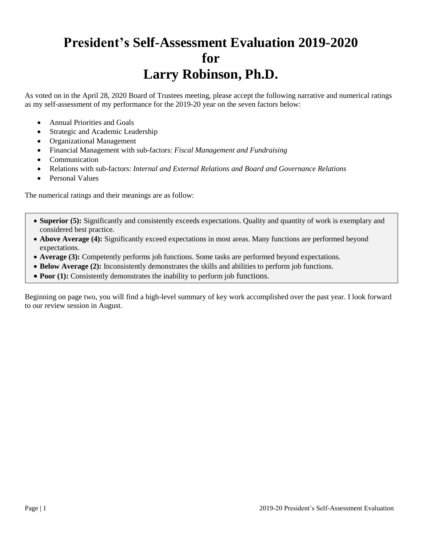## **President's Self-Assessment Evaluation 2019-2020 for Larry Robinson, Ph.D.**

As voted on in the April 28, 2020 Board of Trustees meeting, please accept the following narrative and numerical ratings as my self-assessment of my performance for the 2019-20 year on the seven factors below:

- Annual Priorities and Goals
- Strategic and Academic Leadership
- Organizational Management
- Financial Management with sub-factors: *Fiscal Management and Fundraising*
- Communication
- Relations with sub-factors: *Internal and External Relations and Board and Governance Relations*
- Personal Values

The numerical ratings and their meanings are as follow:

- **Superior (5):** Significantly and consistently exceeds expectations. Quality and quantity of work is exemplary and considered best practice.
- **Above Average (4):** Significantly exceed expectations in most areas. Many functions are performed beyond expectations.
- **Average (3):** Competently performs job functions. Some tasks are performed beyond expectations.
- **Below Average (2):** Inconsistently demonstrates the skills and abilities to perform job functions.
- **Poor (1):** Consistently demonstrates the inability to perform job functions.

Beginning on page two, you will find a high-level summary of key work accomplished over the past year. I look forward to our review session in August.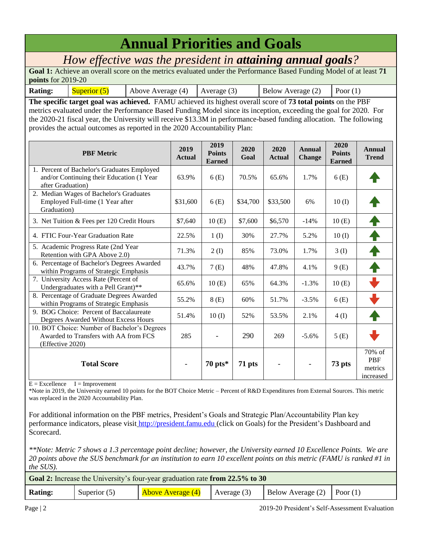## **Annual Priorities and Goals**

*How effective was the president in attaining annual goals?*

**Goal 1:** Achieve an overall score on the metrics evaluated under the Performance Based Funding Model of at least **71 points** for 2019-20

**Rating:** Superior (5) Above Average (4) Average (3) Below Average (2) Poor (1)

**The specific target goal was achieved.** FAMU achieved its highest overall score of **73 total points** on the PBF metrics evaluated under the Performance Based Funding Model since its inception, exceeding the goal for 2020. For the 2020-21 fiscal year, the University will receive \$13.3M in performance-based funding allocation. The following provides the actual outcomes as reported in the 2020 Accountability Plan:

| <b>PBF</b> Metric                                                                                             | 2019<br><b>Actual</b>    | 2019<br><b>Points</b><br><b>Earned</b> | 2020<br>Goal | 2020<br><b>Actual</b> | Annual<br><b>Change</b>  | 2020<br><b>Points</b><br><b>Earned</b> | Annual<br><b>Trend</b>                         |
|---------------------------------------------------------------------------------------------------------------|--------------------------|----------------------------------------|--------------|-----------------------|--------------------------|----------------------------------------|------------------------------------------------|
| 1. Percent of Bachelor's Graduates Employed<br>and/or Continuing their Education (1 Year<br>after Graduation) | 63.9%                    | 6(E)                                   | 70.5%        | 65.6%                 | 1.7%                     | 6(E)                                   |                                                |
| 2. Median Wages of Bachelor's Graduates<br>Employed Full-time (1 Year after<br>Graduation)                    | \$31,600                 | 6(E)                                   | \$34,700     | \$33,500              | 6%                       | 10(I)                                  |                                                |
| 3. Net Tuition & Fees per 120 Credit Hours                                                                    | \$7,640                  | 10(E)                                  | \$7,600      | \$6,570               | $-14%$                   | 10(E)                                  |                                                |
| 4. FTIC Four-Year Graduation Rate                                                                             | 22.5%                    | 1(I)                                   | 30%          | 27.7%                 | 5.2%                     | 10(I)                                  |                                                |
| 5. Academic Progress Rate (2nd Year)<br>Retention with GPA Above 2.0)                                         | 71.3%                    | 2(I)                                   | 85%          | 73.0%                 | 1.7%                     | 3(1)                                   |                                                |
| 6. Percentage of Bachelor's Degrees Awarded<br>within Programs of Strategic Emphasis                          | 43.7%                    | 7(E)                                   | 48%          | 47.8%                 | 4.1%                     | 9(E)                                   |                                                |
| 7. University Access Rate (Percent of<br>Undergraduates with a Pell Grant)**                                  | 65.6%                    | 10(E)                                  | 65%          | 64.3%                 | $-1.3\%$                 | 10(E)                                  |                                                |
| 8. Percentage of Graduate Degrees Awarded<br>within Programs of Strategic Emphasis                            | 55.2%                    | 8(E)                                   | 60%          | 51.7%                 | $-3.5%$                  | 6(E)                                   |                                                |
| 9. BOG Choice: Percent of Baccalaureate<br>Degrees Awarded Without Excess Hours                               | 51.4%                    | 10(I)                                  | 52%          | 53.5%                 | 2.1%                     | 4(I)                                   |                                                |
| 10. BOT Choice: Number of Bachelor's Degrees<br>Awarded to Transfers with AA from FCS<br>(Effective 2020)     | 285                      |                                        | 290          | 269                   | $-5.6\%$                 | 5(E)                                   |                                                |
| <b>Total Score</b>                                                                                            | $\overline{\phantom{a}}$ | $70 \text{ pts}$                       | 71 pts       |                       | $\overline{\phantom{a}}$ | 73 pts                                 | $70%$ of<br><b>PBF</b><br>metrics<br>increased |

 $E = Excellence$   $I = Improvement$ 

\*Note in 2019, the University earned 10 points for the BOT Choice Metric – Percent of R&D Expenditures from External Sources. This metric was replaced in the 2020 Accountability Plan.

For additional information on the PBF metrics, President's Goals and Strategic Plan/Accountability Plan key performance indicators, please visit [http://president.famu.edu](http://president.famu.edu/) (click on Goals) for the President's Dashboard and Scorecard.

*\*\*Note: Metric 7 shows a 1.3 percentage point decline; however, the University earned 10 Excellence Points. We are 20 points above the SUS benchmark for an institution to earn 10 excellent points on this metric (FAMU is ranked #1 in the SUS).*

|         |                | Goal 2: Increase the University's four-year graduation rate from 22.5% to 30 |               |                                |  |
|---------|----------------|------------------------------------------------------------------------------|---------------|--------------------------------|--|
| Rating: | Superior $(5)$ | <b>Above Average (4)</b>                                                     | Average $(3)$ | Below Average $(2)$ Poor $(1)$ |  |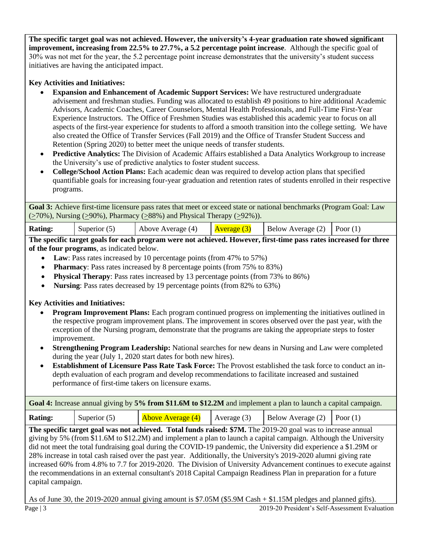**The specific target goal was not achieved. However, the university's 4-year graduation rate showed significant improvement, increasing from 22.5% to 27.7%, a 5.2 percentage point increase**. Although the specific goal of 30% was not met for the year, the 5.2 percentage point increase demonstrates that the university's student success initiatives are having the anticipated impact.

#### **Key Activities and Initiatives:**

- **Expansion and Enhancement of Academic Support Services:** We have restructured undergraduate advisement and freshman studies. Funding was allocated to establish 49 positions to hire additional Academic Advisors, Academic Coaches, Career Counselors, Mental Health Professionals, and Full-Time First-Year Experience Instructors. The Office of Freshmen Studies was established this academic year to focus on all aspects of the first-year experience for students to afford a smooth transition into the college setting. We have also created the Office of Transfer Services (Fall 2019) and the Office of Transfer Student Success and Retention (Spring 2020) to better meet the unique needs of transfer students.
- **Predictive Analytics:** The Division of Academic Affairs established a Data Analytics Workgroup to increase the University's use of predictive analytics to foster student success.
- **College/School Action Plans:** Each academic dean was required to develop action plans that specified quantifiable goals for increasing four-year graduation and retention rates of students enrolled in their respective programs.

**Goal 3:** Achieve first-time licensure pass rates that meet or exceed state or national benchmarks (Program Goal: Law  $(\geq 70\%)$ , Nursing ( $\geq 90\%$ ), Pharmacy ( $\geq 88\%$ ) and Physical Therapy ( $\geq 92\%$ )).

| <b>Rating:</b> | Super |
|----------------|-------|
|                |       |

| <b>Rating:</b> | Superior $(5)$ | Above Average (4) $\left \right. \left  \right. \left  \right. \left  \right. \left  \right. \left  \right. \left  \right. \left  \right. \left  \right. \left  \right. \left  \right. \left  \right. \left  \right. \left  \right. \left  \right. \left  \right. \left  \right. \left  \right. \left  \right. \left  \right. \left  \right. \left  \right. \left  \right. \left  \right. \left  \right. \left  \right. \left  \right. \left  \right. \left  \right. \left  \right. \left  \right. \left  \right. \left  \right. \left  \right$ |  |  |
|----------------|----------------|-------------------------------------------------------------------------------------------------------------------------------------------------------------------------------------------------------------------------------------------------------------------------------------------------------------------------------------------------------------------------------------------------------------------------------------------------------------------------------------------------------------------------------------------------|--|--|
|                |                |                                                                                                                                                                                                                                                                                                                                                                                                                                                                                                                                                 |  |  |

**The specific target goals for each program were not achieved. However, first-time pass rates increased for three of the four programs**, as indicated below.

- Law: Pass rates increased by 10 percentage points (from 47% to 57%)
- **Pharmacy**: Pass rates increased by 8 percentage points (from 75% to 83%)
- **Physical Therapy**: Pass rates increased by 13 percentage points (from 73% to 86%)
- **Nursing**: Pass rates decreased by 19 percentage points (from 82% to 63%)

#### **Key Activities and Initiatives:**

- **Program Improvement Plans:** Each program continued progress on implementing the initiatives outlined in the respective program improvement plans. The improvement in scores observed over the past year, with the exception of the Nursing program, demonstrate that the programs are taking the appropriate steps to foster improvement.
- **Strengthening Program Leadership:** National searches for new deans in Nursing and Law were completed during the year (July 1, 2020 start dates for both new hires).
- **Establishment of Licensure Pass Rate Task Force:** The Provost established the task force to conduct an indepth evaluation of each program and develop recommendations to facilitate increased and sustained performance of first-time takers on licensure exams.

**Goal 4:** Increase annual giving by **5% from \$11.6M to \$12.2M** and implement a plan to launch a capital campaign.

| <b>Rating:</b> | Superior $(5)$ | Above Average (4) | Average $(3)$ | Below Average $(2)$ Poor $(1)$ |  |
|----------------|----------------|-------------------|---------------|--------------------------------|--|
| ____           |                |                   |               |                                |  |

**The specific target goal was not achieved. Total funds raised: \$7M.** The 2019-20 goal was to increase annual giving by 5% (from \$11.6M to \$12.2M) and implement a plan to launch a capital campaign. Although the University did not meet the total fundraising goal during the COVID-19 pandemic, the University did experience a \$1.29M or 28% increase in total cash raised over the past year. Additionally, the University's 2019-2020 alumni giving rate increased 60% from 4.8% to 7.7 for 2019-2020. The Division of University Advancement continues to execute against the recommendations in an external consultant's 2018 Capital Campaign Readiness Plan in preparation for a future capital campaign.

Page | 3 2019-20 President's Self-Assessment Evaluation As of June 30, the 2019-2020 annual giving amount is \$7.05M (\$5.9M Cash + \$1.15M pledges and planned gifts).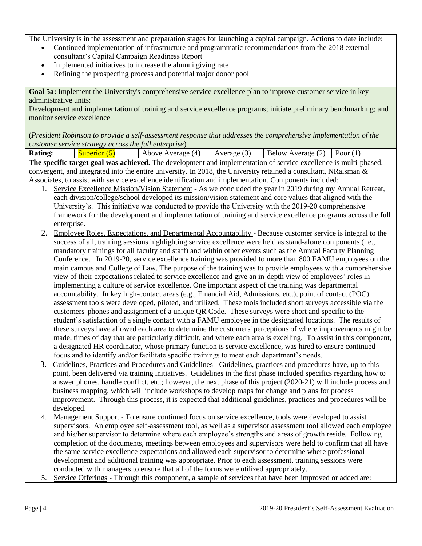The University is in the assessment and preparation stages for launching a capital campaign. Actions to date include:

- Continued implementation of infrastructure and programmatic recommendations from the 2018 external consultant's Capital Campaign Readiness Report
- Implemented initiatives to increase the alumni giving rate
- Refining the prospecting process and potential major donor pool

**Goal 5a:** Implement the University's comprehensive service excellence plan to improve customer service in key administrative units:

Development and implementation of training and service excellence programs; initiate preliminary benchmarking; and monitor service excellence

(*President Robinson to provide a self-assessment response that addresses the comprehensive implementation of the customer service strategy across the full enterprise*)

**Rating:**  $\begin{bmatrix} \text{Superior (5)} \\ \text{Above Average (4)} \end{bmatrix}$  Average (3) Below Average (2) Poor (1) **The specific target goal was achieved.** The development and implementation of service excellence is multi-phased, convergent, and integrated into the entire university. In 2018, the University retained a consultant, NRaisman & Associates, to assist with service excellence identification and implementation. Components included:

- 1. Service Excellence Mission/Vision Statement As we concluded the year in 2019 during my Annual Retreat, each division/college/school developed its mission/vision statement and core values that aligned with the University's. This initiative was conducted to provide the University with the 2019-20 comprehensive framework for the development and implementation of training and service excellence programs across the full enterprise.
- 2. Employee Roles, Expectations, and Departmental Accountability Because customer service is integral to the success of all, training sessions highlighting service excellence were held as stand-alone components (i.e., mandatory trainings for all faculty and staff) and within other events such as the Annual Faculty Planning Conference. In 2019-20, service excellence training was provided to more than 800 FAMU employees on the main campus and College of Law. The purpose of the training was to provide employees with a comprehensive view of their expectations related to service excellence and give an in-depth view of employees' roles in implementing a culture of service excellence. One important aspect of the training was departmental accountability. In key high-contact areas (e.g., Financial Aid, Admissions, etc.), point of contact (POC) assessment tools were developed, piloted, and utilized. These tools included short surveys accessible via the customers' phones and assignment of a unique QR Code. These surveys were short and specific to the student's satisfaction of a single contact with a FAMU employee in the designated locations. The results of these surveys have allowed each area to determine the customers' perceptions of where improvements might be made, times of day that are particularly difficult, and where each area is excelling. To assist in this component, a designated HR coordinator, whose primary function is service excellence, was hired to ensure continued focus and to identify and/or facilitate specific trainings to meet each department's needs.
- 3. Guidelines, Practices and Procedures and Guidelines Guidelines, practices and procedures have, up to this point, been delivered via training initiatives. Guidelines in the first phase included specifics regarding how to answer phones, handle conflict, etc.; however, the next phase of this project (2020-21) will include process and business mapping, which will include workshops to develop maps for change and plans for process improvement. Through this process, it is expected that additional guidelines, practices and procedures will be developed.
- 4. Management Support To ensure continued focus on service excellence, tools were developed to assist supervisors. An employee self-assessment tool, as well as a supervisor assessment tool allowed each employee and his/her supervisor to determine where each employee's strengths and areas of growth reside. Following completion of the documents, meetings between employees and supervisors were held to confirm that all have the same service excellence expectations and allowed each supervisor to determine where professional development and additional training was appropriate. Prior to each assessment, training sessions were conducted with managers to ensure that all of the forms were utilized appropriately.
- 5. Service Offerings Through this component, a sample of services that have been improved or added are: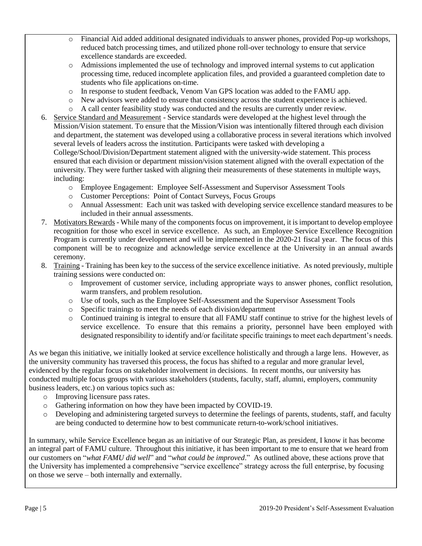- o Financial Aid added additional designated individuals to answer phones, provided Pop-up workshops, reduced batch processing times, and utilized phone roll-over technology to ensure that service excellence standards are exceeded.
- o Admissions implemented the use of technology and improved internal systems to cut application processing time, reduced incomplete application files, and provided a guaranteed completion date to students who file applications on-time.
- o In response to student feedback, Venom Van GPS location was added to the FAMU app.
- o New advisors were added to ensure that consistency across the student experience is achieved.
- o A call center feasibility study was conducted and the results are currently under review.
- 6. Service Standard and Measurement Service standards were developed at the highest level through the Mission/Vision statement. To ensure that the Mission/Vision was intentionally filtered through each division and department, the statement was developed using a collaborative process in several iterations which involved several levels of leaders across the institution. Participants were tasked with developing a College/School/Division/Department statement aligned with the university-wide statement. This process

ensured that each division or department mission/vision statement aligned with the overall expectation of the university. They were further tasked with aligning their measurements of these statements in multiple ways, including:

- o Employee Engagement: Employee Self-Assessment and Supervisor Assessment Tools
- o Customer Perceptions: Point of Contact Surveys, Focus Groups
- o Annual Assessment: Each unit was tasked with developing service excellence standard measures to be included in their annual assessments.
- 7. Motivators Rewards While many of the components focus on improvement, it is important to develop employee recognition for those who excel in service excellence. As such, an Employee Service Excellence Recognition Program is currently under development and will be implemented in the 2020-21 fiscal year. The focus of this component will be to recognize and acknowledge service excellence at the University in an annual awards ceremony.
- 8. Training Training has been key to the success of the service excellence initiative. As noted previously, multiple training sessions were conducted on:
	- o Improvement of customer service, including appropriate ways to answer phones, conflict resolution, warm transfers, and problem resolution.
	- o Use of tools, such as the Employee Self-Assessment and the Supervisor Assessment Tools
	- o Specific trainings to meet the needs of each division/department
	- o Continued training is integral to ensure that all FAMU staff continue to strive for the highest levels of service excellence. To ensure that this remains a priority, personnel have been employed with designated responsibility to identify and/or facilitate specific trainings to meet each department's needs.

As we began this initiative, we initially looked at service excellence holistically and through a large lens. However, as the university community has traversed this process, the focus has shifted to a regular and more granular level, evidenced by the regular focus on stakeholder involvement in decisions. In recent months, our university has conducted multiple focus groups with various stakeholders (students, faculty, staff, alumni, employers, community business leaders, etc.) on various topics such as:

- o Improving licensure pass rates.
- o Gathering information on how they have been impacted by COVID-19.
- o Developing and administering targeted surveys to determine the feelings of parents, students, staff, and faculty are being conducted to determine how to best communicate return-to-work/school initiatives.

In summary, while Service Excellence began as an initiative of our Strategic Plan, as president, I know it has become an integral part of FAMU culture. Throughout this initiative, it has been important to me to ensure that we heard from our customers on "*what FAMU did well*" and "*what could be improved*." As outlined above, these actions prove that the University has implemented a comprehensive "service excellence" strategy across the full enterprise, by focusing on those we serve – both internally and externally.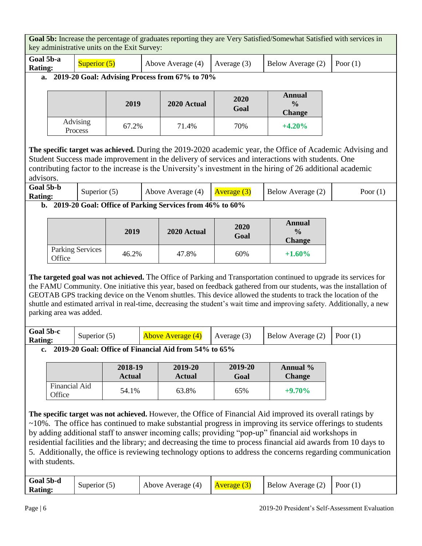**Goal 5b:** Increase the percentage of graduates reporting they are Very Satisfied/Somewhat Satisfied with services in key administrative units on the Exit Survey: **Goal 5b-a Rating:** Superior (5) Above Average (4) Average (3) Below Average (2) Poor (1) **a. 2019-20 Goal: Advising Process from 67% to 70% <sup>2019</sup> 2020 Actual <sup>2020</sup> Goal Annual**   $\frac{6}{6}$ **Change** Advising Process 67.2% 71.4% 70% **+4.20% The specific target was achieved.** During the 2019-2020 academic year, the Office of Academic Advising and Student Success made improvement in the delivery of services and interactions with students. One contributing factor to the increase is the University's investment in the hiring of 26 additional academic advisors. **Goal 5b-b Rating:** Superior (5) Above Average (4)  $\left|\frac{\text{Average (3)}}{\text{Average (3)}}\right|$  Below Average (2) Poor (1) **b. 2019-20 Goal: Office of Parking Services from 46% to 60% <sup>2019</sup> 2020 Actual <sup>2020</sup> Goal Annual % Change** Parking Services Parking Services 46.2% 47.8% 60% +1.60% **The targeted goal was not achieved.** The Office of Parking and Transportation continued to upgrade its services for the FAMU Community. One initiative this year, based on feedback gathered from our students, was the installation of GEOTAB GPS tracking device on the Venom shuttles. This device allowed the students to track the location of the shuttle and estimated arrival in real-time, decreasing the student's wait time and improving safety. Additionally, a new parking area was added. **Goal 5b-c Rating:** Superior (5) Above Average (4) Average (3) Below Average (2) Poor (1) **c. 2019-20 Goal: Office of Financial Aid from 54% to 65% 2018-19 Actual 2019-20 Actual 2019-20 Goal Annual % Change** Financial Aid Office 54.1% 63.8% 65% **+9.70% The specific target was not achieved.** However, the Office of Financial Aid improved its overall ratings by ~10%. The office has continued to make substantial progress in improving its service offerings to students by adding additional staff to answer incoming calls; providing "pop-up" financial aid workshops in residential facilities and the library; and decreasing the time to process financial aid awards from 10 days to 5. Additionally, the office is reviewing technology options to address the concerns regarding communication with students. **Goal 5b-d Rating:** Superior (5) Above Average (4) Average (3) Below Average (2) Poor (1)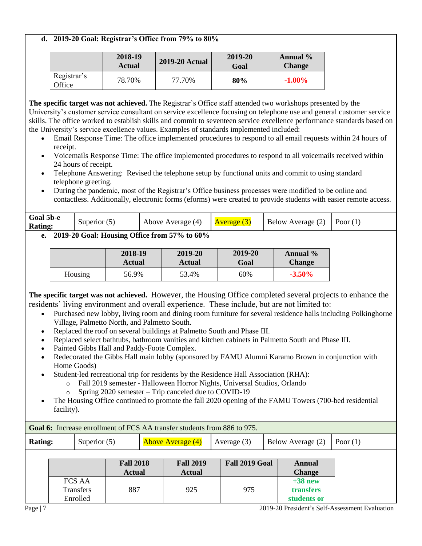#### **d. 2019-20 Goal: Registrar's Office from 79% to 80%**

|                       | 2018-19<br><b>Actual</b> | <b>2019-20 Actual</b> | 2019-20<br>Goal | Annual %<br><b>Change</b> |
|-----------------------|--------------------------|-----------------------|-----------------|---------------------------|
| Registrar's<br>Office | 78.70%                   | 77.70%                | 80%             | $-1.00\%$                 |

**The specific target was not achieved.** The Registrar's Office staff attended two workshops presented by the University's customer service consultant on service excellence focusing on telephone use and general customer service skills. The office worked to establish skills and commit to seventeen service excellence performance standards based on the University's service excellence values. Examples of standards implemented included:

- Email Response Time: The office implemented procedures to respond to all email requests within 24 hours of receipt.
- Voicemails Response Time: The office implemented procedures to respond to all voicemails received within 24 hours of receipt.
- Telephone Answering: Revised the telephone setup by functional units and commit to using standard telephone greeting.
- During the pandemic, most of the Registrar's Office business processes were modified to be online and contactless. Additionally, electronic forms (eforms) were created to provide students with easier remote access.

| Goal 5b-e<br><b>Rating:</b> | Superior $(5)$ | Above Average (4) | <u>  Average (3)</u> | Below Average $(2)$ Poor $(1)$ |  |
|-----------------------------|----------------|-------------------|----------------------|--------------------------------|--|
| $AA$ $AA$ $A$               | റ ലെ           | $\blacksquare$    |                      |                                |  |

#### **e. 2019-20 Goal: Housing Office from 57% to 60%**

|         | 2018-19       | 2019-20 | 2019-20 | Annual %      |
|---------|---------------|---------|---------|---------------|
|         | <b>Actual</b> | Actual  | Goal    | <b>Change</b> |
| Housing | 56.9%         | 53.4%   | 60%     | $-3.50\%$     |

**The specific target was not achieved.** However, the Housing Office completed several projects to enhance the residents' living environment and overall experience. These include, but are not limited to:

- Purchased new lobby, living room and dining room furniture for several residence halls including Polkinghorne Village, Palmetto North, and Palmetto South.
- Replaced the roof on several buildings at Palmetto South and Phase III.
- Replaced select bathtubs, bathroom vanities and kitchen cabinets in Palmetto South and Phase III.
- Painted Gibbs Hall and Paddy-Foote Complex.
- Redecorated the Gibbs Hall main lobby (sponsored by FAMU Alumni Karamo Brown in conjunction with Home Goods)
- Student-led recreational trip for residents by the Residence Hall Association (RHA):
	- o Fall 2019 semester Halloween Horror Nights, Universal Studios, Orlando
		- o Spring 2020 semester Trip canceled due to COVID-19
- The Housing Office continued to promote the fall 2020 opening of the FAMU Towers (700-bed residential facility).

|                |                                 |                                   | <b>Goal 6:</b> Increase enrollment of FCS AA transfer students from 886 to 975. |                |                                       |            |
|----------------|---------------------------------|-----------------------------------|---------------------------------------------------------------------------------|----------------|---------------------------------------|------------|
| <b>Rating:</b> | Superior $(5)$                  |                                   | <b>Above Average (4)</b>                                                        | Average $(3)$  | Below Average (2)                     | Poor $(1)$ |
|                |                                 | <b>Fall 2018</b><br><b>Actual</b> | <b>Fall 2019</b><br><b>Actual</b>                                               | Fall 2019 Goal | <b>Annual</b><br><b>Change</b>        |            |
|                | FCS AA<br>Transfers<br>Enrolled | 887                               | 925                                                                             | 975            | $+38$ new<br>transfers<br>students or |            |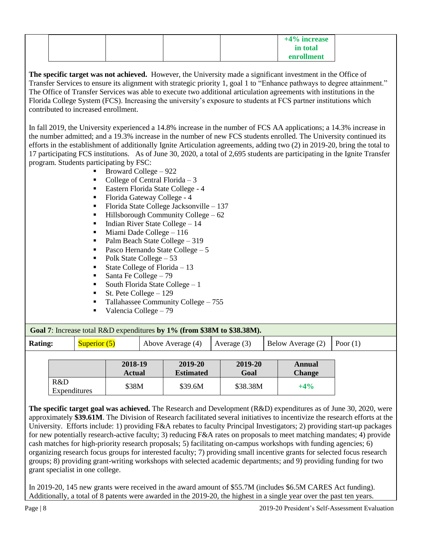|  |  | $+4\%$ increase |  |
|--|--|-----------------|--|
|  |  | in total        |  |
|  |  | enrollment      |  |

**The specific target was not achieved.** However, the University made a significant investment in the Office of Transfer Services to ensure its alignment with strategic priority 1, goal 1 to "Enhance pathways to degree attainment." The Office of Transfer Services was able to execute two additional articulation agreements with institutions in the Florida College System (FCS). Increasing the university's exposure to students at FCS partner institutions which contributed to increased enrollment.

In fall 2019, the University experienced a 14.8% increase in the number of FCS AA applications; a 14.3% increase in the number admitted; and a 19.3% increase in the number of new FCS students enrolled. The University continued its efforts in the establishment of additionally Ignite Articulation agreements, adding two (2) in 2019-20, bring the total to 17 participating FCS institutions. As of June 30, 2020, a total of 2,695 students are participating in the Ignite Transfer program. Students participating by FSC:

- Broward College 922
- College of Central Florida 3
- Eastern Florida State College 4
- Florida Gateway College 4
- Florida State College Jacksonville 137
- $Hillsborough Community College 62$
- Indian River State College 14
- Miami Dade College 116
- Palm Beach State College 319
- Pasco Hernando State College 5
- Polk State College 53
- State College of Florida  $-13$
- Santa Fe College 79
- South Florida State College 1
- St. Pete College 129
- Tallahassee Community College 755
- Valencia College 79

**Goal 7**: Increase total R&D expenditures **by 1% (from \$38M to \$38.38M).** 

| <b>Rating:</b> |                     | Superior $(5)$ |                          | Above Average (4)           | Average $(3)$   | Below Average (2)       | Poor $(1)$ |  |
|----------------|---------------------|----------------|--------------------------|-----------------------------|-----------------|-------------------------|------------|--|
|                |                     |                | 2018-19<br><b>Actual</b> | 2019-20<br><b>Estimated</b> | 2019-20<br>Goal | Annual<br><b>Change</b> |            |  |
|                | R&D<br>Expenditures |                | \$38M                    | \$39.6M                     | \$38.38M        | $+4\%$                  |            |  |

**The specific target goal was achieved.** The Research and Development (R&D) expenditures as of June 30, 2020, were approximately **\$39.61M**. The Division of Research facilitated several initiatives to incentivize the research efforts at the University. Efforts include: 1) providing F&A rebates to faculty Principal Investigators; 2) providing start-up packages for new potentially research-active faculty; 3) reducing F&A rates on proposals to meet matching mandates; 4) provide cash matches for high-priority research proposals; 5) facilitating on-campus workshops with funding agencies; 6) organizing research focus groups for interested faculty; 7) providing small incentive grants for selected focus research groups; 8) providing grant-writing workshops with selected academic departments; and 9) providing funding for two grant specialist in one college.

In 2019-20, 145 new grants were received in the award amount of \$55.7M (includes \$6.5M CARES Act funding). Additionally, a total of 8 patents were awarded in the 2019-20, the highest in a single year over the past ten years.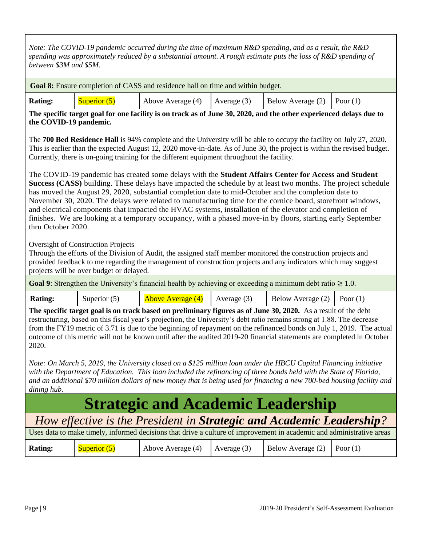*Note: The COVID-19 pandemic occurred during the time of maximum R&D spending, and as a result, the R&D spending was approximately reduced by a substantial amount. A rough estimate puts the loss of R&D spending of between \$3M and \$5M.* 

**Goal 8:** Ensure completion of CASS and residence hall on time and within budget.

| <b>Rating:</b><br>Below Average $(2)$ Poor $(1)$<br>Above Average $(4)$   Average $(3)$<br>$\sqrt{Superior(5)}$ |
|-----------------------------------------------------------------------------------------------------------------|
|-----------------------------------------------------------------------------------------------------------------|

**The specific target goal for one facility is on track as of June 30, 2020, and the other experienced delays due to the COVID-19 pandemic.**

The **700 Bed Residence Hall** is 94% complete and the University will be able to occupy the facility on July 27, 2020. This is earlier than the expected August 12, 2020 move-in-date. As of June 30, the project is within the revised budget. Currently, there is on-going training for the different equipment throughout the facility.

The COVID-19 pandemic has created some delays with the **Student Affairs Center for Access and Student Success (CASS)** building. These delays have impacted the schedule by at least two months. The project schedule has moved the August 29, 2020, substantial completion date to mid-October and the completion date to November 30, 2020. The delays were related to manufacturing time for the cornice board, storefront windows, and electrical components that impacted the HVAC systems, installation of the elevator and completion of finishes. We are looking at a temporary occupancy, with a phased move-in by floors, starting early September thru October 2020.

Oversight of Construction Projects

Through the efforts of the Division of Audit, the assigned staff member monitored the construction projects and provided feedback to me regarding the management of construction projects and any indicators which may suggest projects will be over budget or delayed.

**Goal 9**: Strengthen the University's financial health by achieving or exceeding a minimum debt ratio  $\geq 1.0$ .

| <b>Rating:</b> | Superior $(5)$ | <b>Above Average (4)</b> | Average (3) | Below Average $(2)$ Poor $(1)$ |  |
|----------------|----------------|--------------------------|-------------|--------------------------------|--|
|                |                |                          |             |                                |  |

**The specific target goal is on track based on preliminary figures as of June 30, 2020.** As a result of the debt restructuring, based on this fiscal year's projection, the University's debt ratio remains strong at 1.88. The decrease from the FY19 metric of 3.71 is due to the beginning of repayment on the refinanced bonds on July 1, 2019. The actual outcome of this metric will not be known until after the audited 2019-20 financial statements are completed in October 2020.

*Note: On March 5, 2019, the University closed on a \$125 million loan under the HBCU Capital Financing initiative*  with the Department of Education. This loan included the refinancing of three bonds held with the State of Florida, *and an additional \$70 million dollars of new money that is being used for financing a new 700-bed housing facility and dining hub.*

# **Strategic and Academic Leadership**

## *How effective is the President in Strategic and Academic Leadership?*

| Uses data to make timely, informed decisions that drive a culture of improvement in academic and administrative areas |                |                                   |  |                                |  |  |
|-----------------------------------------------------------------------------------------------------------------------|----------------|-----------------------------------|--|--------------------------------|--|--|
| Rating:                                                                                                               | Superior $(5)$ | Above Average $(4)$ Average $(3)$ |  | Below Average $(2)$ Poor $(1)$ |  |  |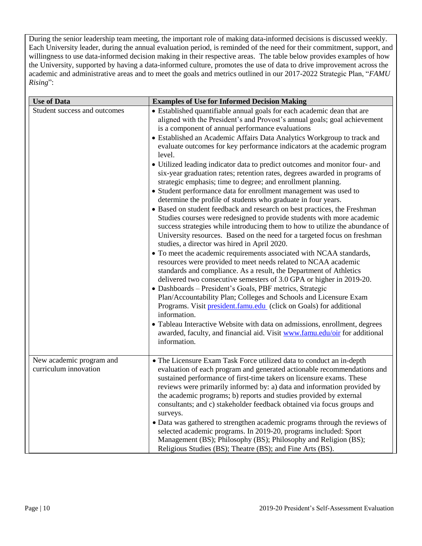During the senior leadership team meeting, the important role of making data-informed decisions is discussed weekly. Each University leader, during the annual evaluation period, is reminded of the need for their commitment, support, and willingness to use data-informed decision making in their respective areas. The table below provides examples of how the University, supported by having a data-informed culture, promotes the use of data to drive improvement across the academic and administrative areas and to meet the goals and metrics outlined in our 2017-2022 Strategic Plan, "*FAMU Rising*":

| <b>Use of Data</b>                                | <b>Examples of Use for Informed Decision Making</b>                                                                                                                                                                                                                                                                                                                                                                                                                                                                                                                                                                                                                                                                                                                                                                                                                                                                                                                                                                                                                                                                                                                                                                                                                                                                                                                                                                                                                                                                                                                                                                                                                                                                                                                                                     |
|---------------------------------------------------|---------------------------------------------------------------------------------------------------------------------------------------------------------------------------------------------------------------------------------------------------------------------------------------------------------------------------------------------------------------------------------------------------------------------------------------------------------------------------------------------------------------------------------------------------------------------------------------------------------------------------------------------------------------------------------------------------------------------------------------------------------------------------------------------------------------------------------------------------------------------------------------------------------------------------------------------------------------------------------------------------------------------------------------------------------------------------------------------------------------------------------------------------------------------------------------------------------------------------------------------------------------------------------------------------------------------------------------------------------------------------------------------------------------------------------------------------------------------------------------------------------------------------------------------------------------------------------------------------------------------------------------------------------------------------------------------------------------------------------------------------------------------------------------------------------|
| Student success and outcomes                      | • Established quantifiable annual goals for each academic dean that are<br>aligned with the President's and Provost's annual goals; goal achievement<br>is a component of annual performance evaluations<br>• Established an Academic Affairs Data Analytics Workgroup to track and<br>evaluate outcomes for key performance indicators at the academic program<br>level.<br>• Utilized leading indicator data to predict outcomes and monitor four- and<br>six-year graduation rates; retention rates, degrees awarded in programs of<br>strategic emphasis; time to degree; and enrollment planning.<br>• Student performance data for enrollment management was used to<br>determine the profile of students who graduate in four years.<br>• Based on student feedback and research on best practices, the Freshman<br>Studies courses were redesigned to provide students with more academic<br>success strategies while introducing them to how to utilize the abundance of<br>University resources. Based on the need for a targeted focus on freshman<br>studies, a director was hired in April 2020.<br>• To meet the academic requirements associated with NCAA standards,<br>resources were provided to meet needs related to NCAA academic<br>standards and compliance. As a result, the Department of Athletics<br>delivered two consecutive semesters of 3.0 GPA or higher in 2019-20.<br>• Dashboards - President's Goals, PBF metrics, Strategic<br>Plan/Accountability Plan; Colleges and Schools and Licensure Exam<br>Programs. Visit president.famu.edu (click on Goals) for additional<br>information.<br>• Tableau Interactive Website with data on admissions, enrollment, degrees<br>awarded, faculty, and financial aid. Visit www.famu.edu/oir for additional<br>information. |
| New academic program and<br>curriculum innovation | • The Licensure Exam Task Force utilized data to conduct an in-depth<br>evaluation of each program and generated actionable recommendations and<br>sustained performance of first-time takers on licensure exams. These<br>reviews were primarily informed by: a) data and information provided by<br>the academic programs; b) reports and studies provided by external<br>consultants; and c) stakeholder feedback obtained via focus groups and<br>surveys.<br>• Data was gathered to strengthen academic programs through the reviews of<br>selected academic programs. In 2019-20, programs included: Sport<br>Management (BS); Philosophy (BS); Philosophy and Religion (BS);<br>Religious Studies (BS); Theatre (BS); and Fine Arts (BS).                                                                                                                                                                                                                                                                                                                                                                                                                                                                                                                                                                                                                                                                                                                                                                                                                                                                                                                                                                                                                                                        |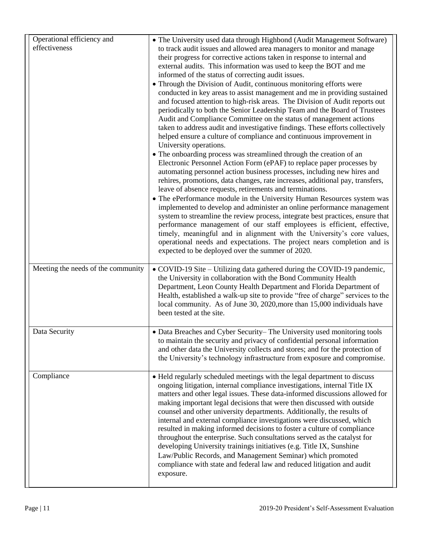| Operational efficiency and<br>effectiveness | • The University used data through Highbond (Audit Management Software)<br>to track audit issues and allowed area managers to monitor and manage<br>their progress for corrective actions taken in response to internal and<br>external audits. This information was used to keep the BOT and me<br>informed of the status of correcting audit issues.<br>• Through the Division of Audit, continuous monitoring efforts were<br>conducted in key areas to assist management and me in providing sustained<br>and focused attention to high-risk areas. The Division of Audit reports out<br>periodically to both the Senior Leadership Team and the Board of Trustees<br>Audit and Compliance Committee on the status of management actions<br>taken to address audit and investigative findings. These efforts collectively<br>helped ensure a culture of compliance and continuous improvement in<br>University operations.<br>• The onboarding process was streamlined through the creation of an<br>Electronic Personnel Action Form (ePAF) to replace paper processes by<br>automating personnel action business processes, including new hires and<br>rehires, promotions, data changes, rate increases, additional pay, transfers,<br>leave of absence requests, retirements and terminations.<br>• The ePerformance module in the University Human Resources system was<br>implemented to develop and administer an online performance management<br>system to streamline the review process, integrate best practices, ensure that<br>performance management of our staff employees is efficient, effective,<br>timely, meaningful and in alignment with the University's core values,<br>operational needs and expectations. The project nears completion and is<br>expected to be deployed over the summer of 2020. |
|---------------------------------------------|---------------------------------------------------------------------------------------------------------------------------------------------------------------------------------------------------------------------------------------------------------------------------------------------------------------------------------------------------------------------------------------------------------------------------------------------------------------------------------------------------------------------------------------------------------------------------------------------------------------------------------------------------------------------------------------------------------------------------------------------------------------------------------------------------------------------------------------------------------------------------------------------------------------------------------------------------------------------------------------------------------------------------------------------------------------------------------------------------------------------------------------------------------------------------------------------------------------------------------------------------------------------------------------------------------------------------------------------------------------------------------------------------------------------------------------------------------------------------------------------------------------------------------------------------------------------------------------------------------------------------------------------------------------------------------------------------------------------------------------------------------------------------------------------------------------------------------|
| Meeting the needs of the community          | • COVID-19 Site – Utilizing data gathered during the COVID-19 pandemic,<br>the University in collaboration with the Bond Community Health<br>Department, Leon County Health Department and Florida Department of<br>Health, established a walk-up site to provide "free of charge" services to the<br>local community. As of June 30, 2020, more than 15,000 individuals have<br>been tested at the site.                                                                                                                                                                                                                                                                                                                                                                                                                                                                                                                                                                                                                                                                                                                                                                                                                                                                                                                                                                                                                                                                                                                                                                                                                                                                                                                                                                                                                       |
| Data Security                               | • Data Breaches and Cyber Security–The University used monitoring tools<br>to maintain the security and privacy of confidential personal information<br>and other data the University collects and stores; and for the protection of<br>the University's technology infrastructure from exposure and compromise.                                                                                                                                                                                                                                                                                                                                                                                                                                                                                                                                                                                                                                                                                                                                                                                                                                                                                                                                                                                                                                                                                                                                                                                                                                                                                                                                                                                                                                                                                                                |
| Compliance                                  | • Held regularly scheduled meetings with the legal department to discuss<br>ongoing litigation, internal compliance investigations, internal Title IX<br>matters and other legal issues. These data-informed discussions allowed for<br>making important legal decisions that were then discussed with outside<br>counsel and other university departments. Additionally, the results of<br>internal and external compliance investigations were discussed, which<br>resulted in making informed decisions to foster a culture of compliance<br>throughout the enterprise. Such consultations served as the catalyst for<br>developing University trainings initiatives (e.g. Title IX, Sunshine<br>Law/Public Records, and Management Seminar) which promoted<br>compliance with state and federal law and reduced litigation and audit<br>exposure.                                                                                                                                                                                                                                                                                                                                                                                                                                                                                                                                                                                                                                                                                                                                                                                                                                                                                                                                                                           |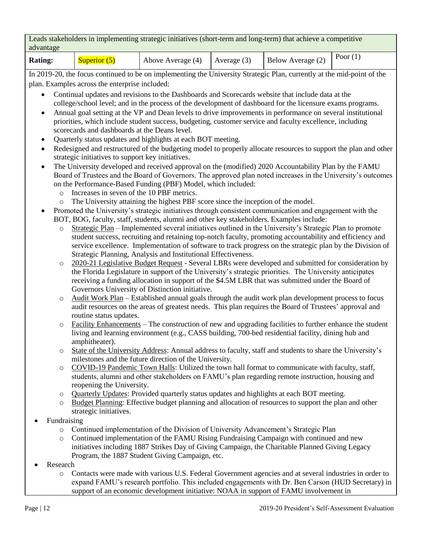| Leads stakeholders in implementing strategic initiatives (short-term and long-term) that achieve a competitive |  |  |  |  |                               |  |
|----------------------------------------------------------------------------------------------------------------|--|--|--|--|-------------------------------|--|
| advantage                                                                                                      |  |  |  |  |                               |  |
|                                                                                                                |  |  |  |  | $\mathbf{D}_{\text{max}}$ (1) |  |

| <b>Rating:</b> | Superior ( | Above Average (4) | Average $(3)$ | Below Average (2) | $P_{\text{OOT}}(1)$ |
|----------------|------------|-------------------|---------------|-------------------|---------------------|
| ---------      |            |                   |               |                   |                     |

In 2019-20, the focus continued to be on implementing the University Strategic Plan, currently at the mid-point of the plan. Examples across the enterprise included:

- Continual updates and revisions to the Dashboards and Scorecards website that include data at the college/school level; and in the process of the development of dashboard for the licensure exams programs.
- Annual goal setting at the VP and Dean levels to drive improvements in performance on several institutional priorities, which include student success, budgeting, customer service and faculty excellence, including scorecards and dashboards at the Deans level.
- Ouarterly status updates and highlights at each BOT meeting.
- Redesigned and restructured of the budgeting model to properly allocate resources to support the plan and other strategic initiatives to support key initiatives.
- The University developed and received approval on the (modified) 2020 Accountability Plan by the FAMU Board of Trustees and the Board of Governors. The approved plan noted increases in the University's outcomes on the Performance-Based Funding (PBF) Model, which included:
	- o Increases in seven of the 10 PBF metrics.
	- o The University attaining the highest PBF score since the inception of the model.
- Promoted the University's strategic initiatives through consistent communication and engagement with the BOT, BOG, faculty, staff, students, alumni and other key stakeholders. Examples include:
	- o Strategic Plan Implemented several initiatives outlined in the University's Strategic Plan to promote student success, recruiting and retaining top-notch faculty, promoting accountability and efficiency and service excellence. Implementation of software to track progress on the strategic plan by the Division of Strategic Planning, Analysis and Institutional Effectiveness.
	- o 2020-21 Legislative Budget Request Several LBRs were developed and submitted for consideration by the Florida Legislature in support of the University's strategic priorities. The University anticipates receiving a funding allocation in support of the \$4.5M LBR that was submitted under the Board of Governors University of Distinction initiative.
	- $\circ$  Audit Work Plan Established annual goals through the audit work plan development process to focus audit resources on the areas of greatest needs. This plan requires the Board of Trustees' approval and routine status updates.
	- o Facility Enhancements The construction of new and upgrading facilities to further enhance the student living and learning environment (e.g., CASS building, 700-bed residential facility, dining hub and amphitheater).
	- o State of the University Address: Annual address to faculty, staff and students to share the University's milestones and the future direction of the University.
	- o COVID-19 Pandemic Town Halls: Utilized the town hall format to communicate with faculty, staff, students, alumni and other stakeholders on FAMU's plan regarding remote instruction, housing and reopening the University.
	- o Quarterly Updates: Provided quarterly status updates and highlights at each BOT meeting.
	- o Budget Planning: Effective budget planning and allocation of resources to support the plan and other strategic initiatives.
- Fundraising
	- o Continued implementation of the Division of University Advancement's Strategic Plan
	- o Continued implementation of the FAMU Rising Fundraising Campaign with continued and new initiatives including 1887 Strikes Day of Giving Campaign, the Charitable Planned Giving Legacy Program, the 1887 Student Giving Campaign, etc.
- Research
	- o Contacts were made with various U.S. Federal Government agencies and at several industries in order to expand FAMU's research portfolio. This included engagements with Dr. Ben Carson (HUD Secretary) in support of an economic development initiative: NOAA in support of FAMU involvement in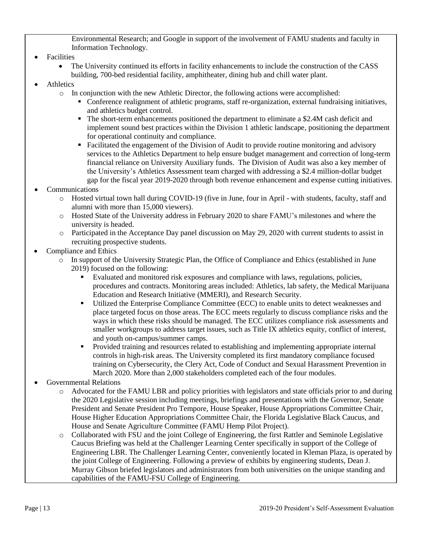Environmental Research; and Google in support of the involvement of FAMU students and faculty in Information Technology.

- **Facilities** 
	- The University continued its efforts in facility enhancements to include the construction of the CASS building, 700-bed residential facility, amphitheater, dining hub and chill water plant.
- **Athletics** 
	- o In conjunction with the new Athletic Director, the following actions were accomplished:
		- Conference realignment of athletic programs, staff re-organization, external fundraising initiatives, and athletics budget control.
		- The short-term enhancements positioned the department to eliminate a \$2.4M cash deficit and implement sound best practices within the Division 1 athletic landscape, positioning the department for operational continuity and compliance.
		- Facilitated the engagement of the Division of Audit to provide routine monitoring and advisory services to the Athletics Department to help ensure budget management and correction of long-term financial reliance on University Auxiliary funds. The Division of Audit was also a key member of the University's Athletics Assessment team charged with addressing a \$2.4 million-dollar budget gap for the fiscal year 2019-2020 through both revenue enhancement and expense cutting initiatives.
- **Communications** 
	- o Hosted virtual town hall during COVID-19 (five in June, four in April with students, faculty, staff and alumni with more than 15,000 viewers).
	- o Hosted State of the University address in February 2020 to share FAMU's milestones and where the university is headed.
	- o Participated in the Acceptance Day panel discussion on May 29, 2020 with current students to assist in recruiting prospective students.
- Compliance and Ethics
	- o In support of the University Strategic Plan, the Office of Compliance and Ethics (established in June 2019) focused on the following:
		- Evaluated and monitored risk exposures and compliance with laws, regulations, policies, procedures and contracts. Monitoring areas included: Athletics, lab safety, the Medical Marijuana Education and Research Initiative (MMERI), and Research Security.
		- Utilized the Enterprise Compliance Committee (ECC) to enable units to detect weaknesses and place targeted focus on those areas. The ECC meets regularly to discuss compliance risks and the ways in which these risks should be managed. The ECC utilizes compliance risk assessments and smaller workgroups to address target issues, such as Title IX athletics equity, conflict of interest, and youth on-campus/summer camps.
		- Provided training and resources related to establishing and implementing appropriate internal controls in high-risk areas. The University completed its first mandatory compliance focused training on Cybersecurity, the Clery Act, Code of Conduct and Sexual Harassment Prevention in March 2020. More than 2,000 stakeholders completed each of the four modules.
- Governmental Relations
	- o Advocated for the FAMU LBR and policy priorities with legislators and state officials prior to and during the 2020 Legislative session including meetings, briefings and presentations with the Governor, Senate President and Senate President Pro Tempore, House Speaker, House Appropriations Committee Chair, House Higher Education Appropriations Committee Chair, the Florida Legislative Black Caucus, and House and Senate Agriculture Committee (FAMU Hemp Pilot Project).
	- o Collaborated with FSU and the joint College of Engineering, the first Rattler and Seminole Legislative Caucus Briefing was held at the Challenger Learning Center specifically in support of the College of Engineering LBR. The Challenger Learning Center, conveniently located in Kleman Plaza, is operated by the joint College of Engineering. Following a preview of exhibits by engineering students, Dean J. Murray Gibson briefed legislators and administrators from both universities on the unique standing and capabilities of the FAMU-FSU College of Engineering.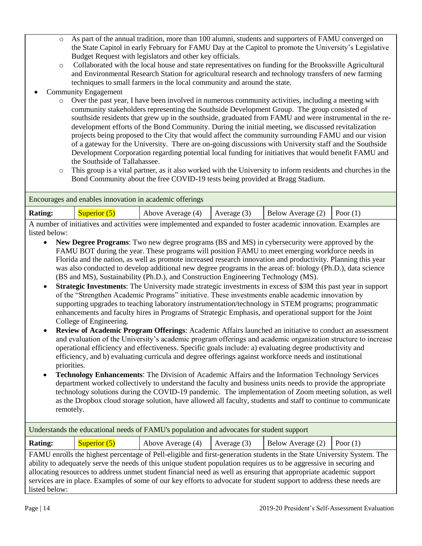- o As part of the annual tradition, more than 100 alumni, students and supporters of FAMU converged on the State Capitol in early February for FAMU Day at the Capitol to promote the University's Legislative Budget Request with legislators and other key officials.
- o Collaborated with the local house and state representatives on funding for the Brooksville Agricultural and Environmental Research Station for agricultural research and technology transfers of new farming techniques to small farmers in the local community and around the state.
- Community Engagement
	- o Over the past year, I have been involved in numerous community activities, including a meeting with community stakeholders representing the Southside Development Group. The group consisted of southside residents that grew up in the southside, graduated from FAMU and were instrumental in the redevelopment efforts of the Bond Community. During the initial meeting, we discussed revitalization projects being proposed to the City that would affect the community surrounding FAMU and our vision of a gateway for the University. There are on-going discussions with University staff and the Southside Development Corporation regarding potential local funding for initiatives that would benefit FAMU and the Southside of Tallahassee.
	- o This group is a vital partner, as it also worked with the University to inform residents and churches in the Bond Community about the free COVID-19 tests being provided at Bragg Stadium.

| Encourages and enables innovation in academic offerings                                                                                                                                                                            |                |                                                                                  |  |  |  |  |
|------------------------------------------------------------------------------------------------------------------------------------------------------------------------------------------------------------------------------------|----------------|----------------------------------------------------------------------------------|--|--|--|--|
| <b>Rating:</b>                                                                                                                                                                                                                     | Superior $(5)$ | Above Average (4) $\vert$ Average (3) $\vert$ Below Average (2) $\vert$ Poor (1) |  |  |  |  |
| $\Lambda$ and the construction of contribution and the form of and contract for $f$ of $f$ and $f$ and $f$ and $f$ and $f$ and $f$ and $f$ and $f$ and $f$ and $f$ and $f$ and $f$ and $f$ and $f$ and $f$ and $f$ and $f$ and $f$ |                |                                                                                  |  |  |  |  |

A number of initiatives and activities were implemented and expanded to foster academic innovation. Examples are listed below:

- **New Degree Programs**: Two new degree programs (BS and MS) in cybersecurity were approved by the FAMU BOT during the year. These programs will position FAMU to meet emerging workforce needs in Florida and the nation, as well as promote increased research innovation and productivity. Planning this year was also conducted to develop additional new degree programs in the areas of: biology (Ph.D.), data science (BS and MS), Sustainability (Ph.D.), and Construction Engineering Technology (MS).
- **Strategic Investments**: The University made strategic investments in excess of \$3M this past year in support of the "Strengthen Academic Programs" initiative. These investments enable academic innovation by supporting upgrades to teaching laboratory instrumentation/technology in STEM programs; programmatic enhancements and faculty hires in Programs of Strategic Emphasis, and operational support for the Joint College of Engineering.
- **Review of Academic Program Offerings**: Academic Affairs launched an initiative to conduct an assessment and evaluation of the University's academic program offerings and academic organization structure to increase operational efficiency and effectiveness. Specific goals include: a) evaluating degree productivity and efficiency, and b) evaluating curricula and degree offerings against workforce needs and institutional priorities.
- **Technology Enhancements**: The Division of Academic Affairs and the Information Technology Services department worked collectively to understand the faculty and business units needs to provide the appropriate technology solutions during the COVID-19 pandemic. The implementation of Zoom meeting solution, as well as the Dropbox cloud storage solution, have allowed all faculty, students and staff to continue to communicate remotely.

| Understands the educational needs of FAMU's population and advocates for student support                              |                                                                                                                        |                                                                                                                      |               |                   |            |  |
|-----------------------------------------------------------------------------------------------------------------------|------------------------------------------------------------------------------------------------------------------------|----------------------------------------------------------------------------------------------------------------------|---------------|-------------------|------------|--|
| <b>Rating:</b>                                                                                                        | Superior $(5)$                                                                                                         | Above Average (4)                                                                                                    | Average $(3)$ | Below Average (2) | Poor $(1)$ |  |
|                                                                                                                       | FAMU enrolls the highest percentage of Pell-eligible and first-generation students in the State University System. The |                                                                                                                      |               |                   |            |  |
|                                                                                                                       |                                                                                                                        | ability to adequately serve the needs of this unique student population requires us to be aggressive in securing and |               |                   |            |  |
| allocating resources to address unmet student financial need as well as ensuring that appropriate academic support    |                                                                                                                        |                                                                                                                      |               |                   |            |  |
| services are in place. Examples of some of our key efforts to advocate for student support to address these needs are |                                                                                                                        |                                                                                                                      |               |                   |            |  |
| listed below:                                                                                                         |                                                                                                                        |                                                                                                                      |               |                   |            |  |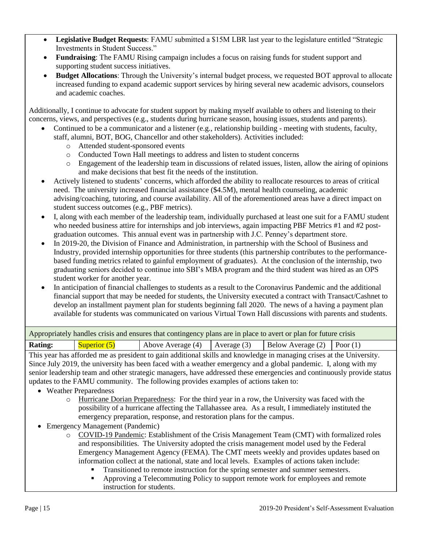- **Legislative Budget Requests**: FAMU submitted a \$15M LBR last year to the legislature entitled "Strategic Investments in Student Success."
- **Fundraising**: The FAMU Rising campaign includes a focus on raising funds for student support and supporting student success initiatives.
- **Budget Allocations**: Through the University's internal budget process, we requested BOT approval to allocate increased funding to expand academic support services by hiring several new academic advisors, counselors and academic coaches.

Additionally, I continue to advocate for student support by making myself available to others and listening to their concerns, views, and perspectives (e.g., students during hurricane season, housing issues, students and parents).

- Continued to be a communicator and a listener (e.g., relationship building meeting with students, faculty, staff, alumni, BOT, BOG, Chancellor and other stakeholders). Activities included:
	- o Attended student-sponsored events
	- o Conducted Town Hall meetings to address and listen to student concerns
	- o Engagement of the leadership team in discussions of related issues, listen, allow the airing of opinions and make decisions that best fit the needs of the institution.
- Actively listened to students' concerns, which afforded the ability to reallocate resources to areas of critical need. The university increased financial assistance (\$4.5M), mental health counseling, academic advising/coaching, tutoring, and course availability. All of the aforementioned areas have a direct impact on student success outcomes (e.g., PBF metrics).
- I, along with each member of the leadership team, individually purchased at least one suit for a FAMU student who needed business attire for internships and job interviews, again impacting PBF Metrics #1 and #2 postgraduation outcomes. This annual event was in partnership with J.C. Penney's department store.
- In 2019-20, the Division of Finance and Administration, in partnership with the School of Business and Industry, provided internship opportunities for three students (this partnership contributes to the performancebased funding metrics related to gainful employment of graduates). At the conclusion of the internship, two graduating seniors decided to continue into SBI's MBA program and the third student was hired as an OPS student worker for another year.
- In anticipation of financial challenges to students as a result to the Coronavirus Pandemic and the additional financial support that may be needed for students, the University executed a contract with Transact/Cashnet to develop an installment payment plan for students beginning fall 2020. The news of a having a payment plan available for students was communicated on various Virtual Town Hall discussions with parents and students.

| Appropriately handles crisis and ensures that contingency plans are in place to avert or plan for future crisis |                |                                     |  |                                |  |
|-----------------------------------------------------------------------------------------------------------------|----------------|-------------------------------------|--|--------------------------------|--|
| <b>Rating:</b>                                                                                                  | Superior $(5)$ | Above Average $(4)$   Average $(3)$ |  | Below Average $(2)$ Poor $(1)$ |  |

This year has afforded me as president to gain additional skills and knowledge in managing crises at the University. Since July 2019, the university has been faced with a weather emergency and a global pandemic. I, along with my senior leadership team and other strategic managers, have addressed these emergencies and continuously provide status updates to the FAMU community. The following provides examples of actions taken to:

- Weather Preparedness
	- o Hurricane Dorian Preparedness: For the third year in a row, the University was faced with the possibility of a hurricane affecting the Tallahassee area. As a result, I immediately instituted the emergency preparation, response, and restoration plans for the campus.
- Emergency Management (Pandemic)
	- o COVID-19 Pandemic: Establishment of the Crisis Management Team (CMT) with formalized roles and responsibilities. The University adopted the crisis management model used by the Federal Emergency Management Agency (FEMA). The CMT meets weekly and provides updates based on information collect at the national, state and local levels. Examples of actions taken include:
		- Transitioned to remote instruction for the spring semester and summer semesters.
		- Approving a Telecommuting Policy to support remote work for employees and remote instruction for students.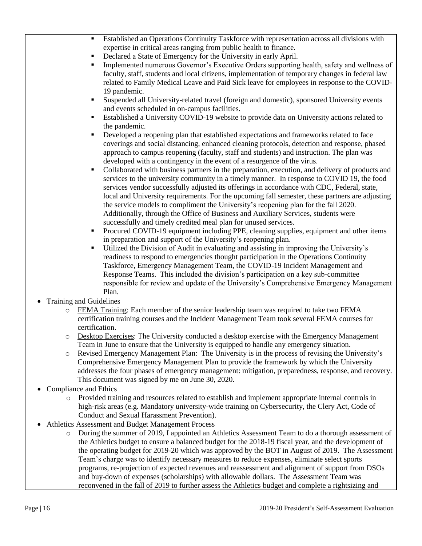- Established an Operations Continuity Taskforce with representation across all divisions with expertise in critical areas ranging from public health to finance.
- Declared a State of Emergency for the University in early April.
- Implemented numerous Governor's Executive Orders supporting health, safety and wellness of faculty, staff, students and local citizens, implementation of temporary changes in federal law related to Family Medical Leave and Paid Sick leave for employees in response to the COVID-19 pandemic.
- Suspended all University-related travel (foreign and domestic), sponsored University events and events scheduled in on-campus facilities.
- Established a University COVID-19 website to provide data on University actions related to the pandemic.
- Developed a reopening plan that established expectations and frameworks related to face coverings and social distancing, enhanced cleaning protocols, detection and response, phased approach to campus reopening (faculty, staff and students) and instruction. The plan was developed with a contingency in the event of a resurgence of the virus.
- Collaborated with business partners in the preparation, execution, and delivery of products and services to the university community in a timely manner. In response to COVID 19, the food services vendor successfully adjusted its offerings in accordance with CDC, Federal, state, local and University requirements. For the upcoming fall semester, these partners are adjusting the service models to compliment the University's reopening plan for the fall 2020. Additionally, through the Office of Business and Auxiliary Services, students were successfully and timely credited meal plan for unused services.
- Procured COVID-19 equipment including PPE, cleaning supplies, equipment and other items in preparation and support of the University's reopening plan.
- Utilized the Division of Audit in evaluating and assisting in improving the University's readiness to respond to emergencies thought participation in the Operations Continuity Taskforce, Emergency Management Team, the COVID-19 Incident Management and Response Teams. This included the division's participation on a key sub-committee responsible for review and update of the University's Comprehensive Emergency Management Plan.
- Training and Guidelines
	- o FEMA Training: Each member of the senior leadership team was required to take two FEMA certification training courses and the Incident Management Team took several FEMA courses for certification.
	- o Desktop Exercises: The University conducted a desktop exercise with the Emergency Management Team in June to ensure that the University is equipped to handle any emergency situation.
	- o Revised Emergency Management Plan: The University is in the process of revising the University's Comprehensive Emergency Management Plan to provide the framework by which the University addresses the four phases of emergency management: mitigation, preparedness, response, and recovery. This document was signed by me on June 30, 2020.
- Compliance and Ethics
	- o Provided training and resources related to establish and implement appropriate internal controls in high-risk areas (e.g. Mandatory university-wide training on Cybersecurity, the Clery Act, Code of Conduct and Sexual Harassment Prevention).
- Athletics Assessment and Budget Management Process
	- o During the summer of 2019, I appointed an Athletics Assessment Team to do a thorough assessment of the Athletics budget to ensure a balanced budget for the 2018-19 fiscal year, and the development of the operating budget for 2019-20 which was approved by the BOT in August of 2019. The Assessment Team's charge was to identify necessary measures to reduce expenses, eliminate select sports programs, re-projection of expected revenues and reassessment and alignment of support from DSOs and buy-down of expenses (scholarships) with allowable dollars. The Assessment Team was reconvened in the fall of 2019 to further assess the Athletics budget and complete a rightsizing and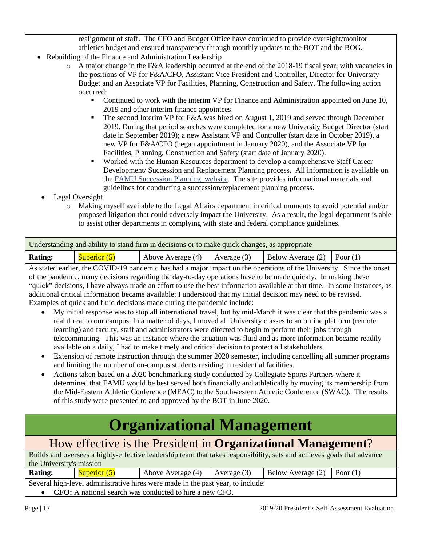realignment of staff. The CFO and Budget Office have continued to provide oversight/monitor athletics budget and ensured transparency through monthly updates to the BOT and the BOG.

- Rebuilding of the Finance and Administration Leadership
	- $\circ$  A major change in the F&A leadership occurred at the end of the 2018-19 fiscal year, with vacancies in the positions of VP for F&A/CFO, Assistant Vice President and Controller, Director for University Budget and an Associate VP for Facilities, Planning, Construction and Safety. The following action occurred:
		- Continued to work with the interim VP for Finance and Administration appointed on June 10, 2019 and other interim finance appointees.
		- **•** The second Interim VP for F&A was hired on August 1, 2019 and served through December 2019. During that period searches were completed for a new University Budget Director (start date in September 2019); a new Assistant VP and Controller (start date in October 2019), a new VP for F&A/CFO (began appointment in January 2020), and the Associate VP for Facilities, Planning, Construction and Safety (start date of January 2020).
		- Worked with the Human Resources department to develop a comprehensive Staff Career Development/ Succession and Replacement Planning process. All information is available on the [FAMU Succession Planning](http://www.famu.edu/index.cfm?hr&SuccessionPlanning) website. The site provides informational materials and guidelines for conducting a succession/replacement planning process.
	- Legal Oversight
		- o Making myself available to the Legal Affairs department in critical moments to avoid potential and/or proposed litigation that could adversely impact the University. As a result, the legal department is able to assist other departments in complying with state and federal compliance guidelines.

| Understanding and ability to stand firm in decisions or to make quick changes, as appropriate |                |                                   |  |                                |  |  |
|-----------------------------------------------------------------------------------------------|----------------|-----------------------------------|--|--------------------------------|--|--|
| <b>Rating:</b>                                                                                | Superior $(5)$ | Above Average $(4)$ Average $(3)$ |  | Below Average $(2)$ Poor $(1)$ |  |  |

As stated earlier, the COVID-19 pandemic has had a major impact on the operations of the University. Since the onset of the pandemic, many decisions regarding the day-to-day operations have to be made quickly. In making these "quick" decisions, I have always made an effort to use the best information available at that time. In some instances, as additional critical information became available; I understood that my initial decision may need to be revised. Examples of quick and fluid decisions made during the pandemic include:

- My initial response was to stop all international travel, but by mid-March it was clear that the pandemic was a real threat to our campus. In a matter of days, I moved all University classes to an online platform (remote learning) and faculty, staff and administrators were directed to begin to perform their jobs through telecommuting. This was an instance where the situation was fluid and as more information became readily available on a daily, I had to make timely and critical decision to protect all stakeholders.
- Extension of remote instruction through the summer 2020 semester, including cancelling all summer programs and limiting the number of on-campus students residing in residential facilities.
- Actions taken based on a 2020 benchmarking study conducted by Collegiate Sports Partners where it determined that FAMU would be best served both financially and athletically by moving its membership from the Mid-Eastern Athletic Conference (MEAC) to the Southwestern Athletic Conference (SWAC). The results of this study were presented to and approved by the BOT in June 2020.

# **Organizational Management**

## How effective is the President in **Organizational Management**?

| Builds and oversees a highly-effective leadership team that takes responsibility, sets and achieves goals that advance |                |                                     |  |                                |  |  |
|------------------------------------------------------------------------------------------------------------------------|----------------|-------------------------------------|--|--------------------------------|--|--|
| the University's mission                                                                                               |                |                                     |  |                                |  |  |
| <b>Rating:</b>                                                                                                         | Superior $(5)$ | Above Average $(4)$   Average $(3)$ |  | Below Average $(2)$ Poor $(1)$ |  |  |
| Several high-level administrative hires were made in the past year, to include:                                        |                |                                     |  |                                |  |  |
| • CFO: A national search was conducted to hire a new CFO.                                                              |                |                                     |  |                                |  |  |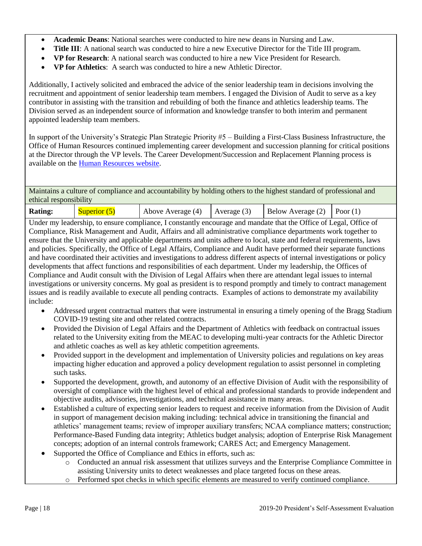- **Academic Deans**: National searches were conducted to hire new deans in Nursing and Law.
- **Title III**: A national search was conducted to hire a new Executive Director for the Title III program.
- **VP for Research**: A national search was conducted to hire a new Vice President for Research.
- **VP for Athletics**: A search was conducted to hire a new Athletic Director.

Additionally, I actively solicited and embraced the advice of the senior leadership team in decisions involving the recruitment and appointment of senior leadership team members. I engaged the Division of Audit to serve as a key contributor in assisting with the transition and rebuilding of both the finance and athletics leadership teams. The Division served as an independent source of information and knowledge transfer to both interim and permanent appointed leadership team members.

In support of the University's Strategic Plan Strategic Priority #5 – Building a First-Class Business Infrastructure, the Office of Human Resources continued implementing career development and succession planning for critical positions at the Director through the VP levels. The Career Development/Succession and Replacement Planning process is available on the [Human Resources website.](http://www.famu.edu/index.cfm?hr&SuccessionPlanning)

Maintains a culture of compliance and accountability by holding others to the highest standard of professional and ethical responsibility

| <b>Rating:</b> | <b>Superior</b> (5 | Above Average $(4)$   Average $(3)$ | Below Average $(2)$ Poor $(1)$ |  |
|----------------|--------------------|-------------------------------------|--------------------------------|--|
| ___            |                    |                                     |                                |  |

Under my leadership, to ensure compliance, I constantly encourage and mandate that the Office of Legal, Office of Compliance, Risk Management and Audit, Affairs and all administrative compliance departments work together to ensure that the University and applicable departments and units adhere to local, state and federal requirements, laws and policies. Specifically, the Office of Legal Affairs, Compliance and Audit have performed their separate functions and have coordinated their activities and investigations to address different aspects of internal investigations or policy developments that affect functions and responsibilities of each department. Under my leadership, the Offices of Compliance and Audit consult with the Division of Legal Affairs when there are attendant legal issues to internal investigations or university concerns. My goal as president is to respond promptly and timely to contract management issues and is readily available to execute all pending contracts. Examples of actions to demonstrate my availability include:

- Addressed urgent contractual matters that were instrumental in ensuring a timely opening of the Bragg Stadium COVID-19 testing site and other related contracts.
- Provided the Division of Legal Affairs and the Department of Athletics with feedback on contractual issues related to the University exiting from the MEAC to developing multi-year contracts for the Athletic Director and athletic coaches as well as key athletic competition agreements.
- Provided support in the development and implementation of University policies and regulations on key areas impacting higher education and approved a policy development regulation to assist personnel in completing such tasks.
- Supported the development, growth, and autonomy of an effective Division of Audit with the responsibility of oversight of compliance with the highest level of ethical and professional standards to provide independent and objective audits, advisories, investigations, and technical assistance in many areas.
- Established a culture of expecting senior leaders to request and receive information from the Division of Audit in support of management decision making including: technical advice in transitioning the financial and athletics' management teams; review of improper auxiliary transfers; NCAA compliance matters; construction; Performance-Based Funding data integrity; Athletics budget analysis; adoption of Enterprise Risk Management concepts; adoption of an internal controls framework; CARES Act; and Emergency Management.
- Supported the Office of Compliance and Ethics in efforts, such as:
	- o Conducted an annual risk assessment that utilizes surveys and the Enterprise Compliance Committee in assisting University units to detect weaknesses and place targeted focus on these areas.
	- Performed spot checks in which specific elements are measured to verify continued compliance.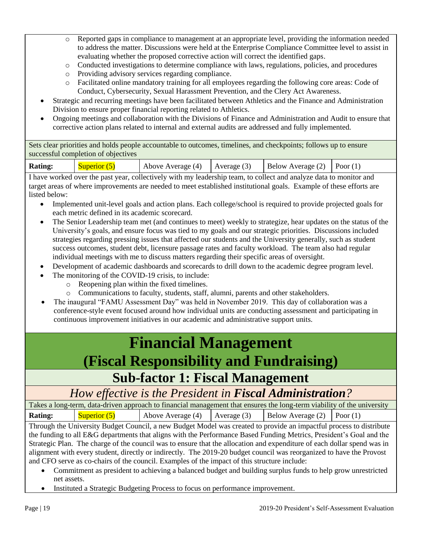- o Reported gaps in compliance to management at an appropriate level, providing the information needed to address the matter. Discussions were held at the Enterprise Compliance Committee level to assist in evaluating whether the proposed corrective action will correct the identified gaps.
- o Conducted investigations to determine compliance with laws, regulations, policies, and procedures
- o Providing advisory services regarding compliance.
- o Facilitated online mandatory training for all employees regarding the following core areas: Code of Conduct, Cybersecurity, Sexual Harassment Prevention, and the Clery Act Awareness.
- Strategic and recurring meetings have been facilitated between Athletics and the Finance and Administration Division to ensure proper financial reporting related to Athletics.
- Ongoing meetings and collaboration with the Divisions of Finance and Administration and Audit to ensure that corrective action plans related to internal and external audits are addressed and fully implemented.

Sets clear priorities and holds people accountable to outcomes, timelines, and checkpoints; follows up to ensure successful completion of objectives

| Below Average $(2)$ Poor $(1)$<br><b>Rating:</b><br>Above Average $(4)$ Average $(3)$<br>Superior (5) |  |
|-------------------------------------------------------------------------------------------------------|--|
|-------------------------------------------------------------------------------------------------------|--|

I have worked over the past year, collectively with my leadership team, to collect and analyze data to monitor and target areas of where improvements are needed to meet established institutional goals. Example of these efforts are listed below:

- Implemented unit-level goals and action plans. Each college/school is required to provide projected goals for each metric defined in its academic scorecard.
- The Senior Leadership team met (and continues to meet) weekly to strategize, hear updates on the status of the University's goals, and ensure focus was tied to my goals and our strategic priorities. Discussions included strategies regarding pressing issues that affected our students and the University generally, such as student success outcomes, student debt, licensure passage rates and faculty workload. The team also had regular individual meetings with me to discuss matters regarding their specific areas of oversight.
- Development of academic dashboards and scorecards to drill down to the academic degree program level.
- The monitoring of the COVID-19 crisis, to include:
	- o Reopening plan within the fixed timelines.
	- o Communications to faculty, students, staff, alumni, parents and other stakeholders.
- The inaugural "FAMU Assessment Day" was held in November 2019. This day of collaboration was a conference-style event focused around how individual units are conducting assessment and participating in continuous improvement initiatives in our academic and administrative support units.

## **Financial Management (Fiscal Responsibility and Fundraising)**

### **Sub-factor 1: Fiscal Management**

### *How effective is the President in Fiscal Administration?*

| Takes a long-term, data-driven approach to financial management that ensures the long-term viability of the university |                |                                                          |  |  |  |
|------------------------------------------------------------------------------------------------------------------------|----------------|----------------------------------------------------------|--|--|--|
| <b>Rating:</b>                                                                                                         | Superior $(5)$ | Above Average (4) Average (3) Below Average (2) Poor (1) |  |  |  |

Through the University Budget Council, a new Budget Model was created to provide an impactful process to distribute the funding to all E&G departments that aligns with the Performance Based Funding Metrics, President's Goal and the Strategic Plan. The charge of the council was to ensure that the allocation and expenditure of each dollar spend was in alignment with every student, directly or indirectly. The 2019-20 budget council was reorganized to have the Provost and CFO serve as co-chairs of the council. Examples of the impact of this structure include:

- Commitment as president to achieving a balanced budget and building surplus funds to help grow unrestricted net assets.
- Instituted a Strategic Budgeting Process to focus on performance improvement.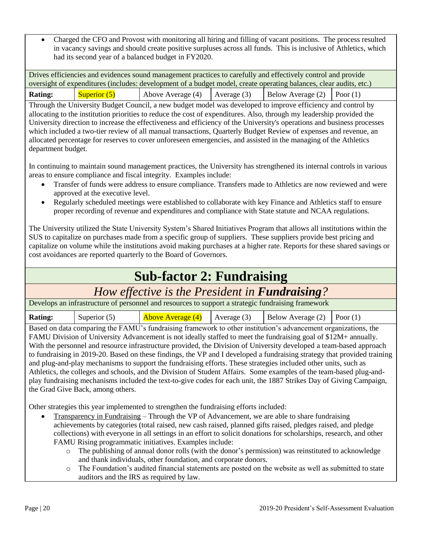• Charged the CFO and Provost with monitoring all hiring and filling of vacant positions. The process resulted in vacancy savings and should create positive surpluses across all funds. This is inclusive of Athletics, which had its second year of a balanced budget in FY2020.

Drives efficiencies and evidences sound management practices to carefully and effectively control and provide oversight of expenditures (includes: development of a budget model, create operating balances, clear audits, etc.) **Rating:** Superior (5) Above Average (4) Average (3) Below Average (2) Poor (1)

Through the University Budget Council, a new budget model was developed to improve efficiency and control by allocating to the institution priorities to reduce the cost of expenditures. Also, through my leadership provided the University direction to increase the effectiveness and efficiency of the University's operations and business processes which included a two-tier review of all manual transactions, Quarterly Budget Review of expenses and revenue, an allocated percentage for reserves to cover unforeseen emergencies, and assisted in the managing of the Athletics department budget.

In continuing to maintain sound management practices, the University has strengthened its internal controls in various areas to ensure compliance and fiscal integrity. Examples include:

- Transfer of funds were address to ensure compliance. Transfers made to Athletics are now reviewed and were approved at the executive level.
- Regularly scheduled meetings were established to collaborate with key Finance and Athletics staff to ensure proper recording of revenue and expenditures and compliance with State statute and NCAA regulations.

The University utilized the State University System's Shared Initiatives Program that allows all institutions within the SUS to capitalize on purchases made from a specific group of suppliers. These suppliers provide best pricing and capitalize on volume while the institutions avoid making purchases at a higher rate. Reports for these shared savings or cost avoidances are reported quarterly to the Board of Governors.

## **Sub-factor 2: Fundraising**

### *How effective is the President in Fundraising?*

Develops an infrastructure of personnel and resources to support a strategic fundraising framework

| <b>Rating:</b><br>Below Average $(2)$ Poor $(1)$<br>$\Delta$ bove Average $(4)$ Average $(3)$<br>Superior $(5)$ |
|-----------------------------------------------------------------------------------------------------------------|
|-----------------------------------------------------------------------------------------------------------------|

Based on data comparing the FAMU's fundraising framework to other institution's advancement organizations, the FAMU Division of University Advancement is not ideally staffed to meet the fundraising goal of \$12M+ annually. With the personnel and resource infrastructure provided, the Division of University developed a team-based approach to fundraising in 2019-20. Based on these findings, the VP and I developed a fundraising strategy that provided training and plug-and-play mechanisms to support the fundraising efforts. These strategies included other units, such as Athletics, the colleges and schools, and the Division of Student Affairs. Some examples of the team-based plug-andplay fundraising mechanisms included the text-to-give codes for each unit, the 1887 Strikes Day of Giving Campaign, the Grad Give Back, among others.

Other strategies this year implemented to strengthen the fundraising efforts included:

- Transparency in Fundraising Through the VP of Advancement, we are able to share fundraising achievements by categories (total raised, new cash raised, planned gifts raised, pledges raised, and pledge collections) with everyone in all settings in an effort to solicit donations for scholarships, research, and other FAMU Rising programmatic initiatives. Examples include:
	- o The publishing of annual donor rolls (with the donor's permission) was reinstituted to acknowledge and thank individuals, other foundation, and corporate donors.
	- o The Foundation's audited financial statements are posted on the website as well as submitted to state auditors and the IRS as required by law.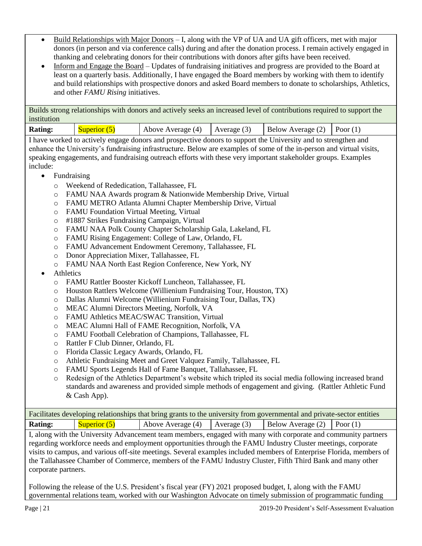- Build Relationships with Major Donors I, along with the VP of UA and UA gift officers, met with major donors (in person and via conference calls) during and after the donation process. I remain actively engaged in thanking and celebrating donors for their contributions with donors after gifts have been received.
- Inform and Engage the Board Updates of fundraising initiatives and progress are provided to the Board at least on a quarterly basis. Additionally, I have engaged the Board members by working with them to identify and build relationships with prospective donors and asked Board members to donate to scholarships, Athletics, and other *FAMU Rising* initiatives.

Builds strong relationships with donors and actively seeks an increased level of contributions required to support the institution

| <b>Rating:</b> | Superior (5) | Above Average $(4)$ Average $(3)$ | Below Average $(2)$ Poor $(1)$ |  |
|----------------|--------------|-----------------------------------|--------------------------------|--|
|                |              |                                   |                                |  |

I have worked to actively engage donors and prospective donors to support the University and to strengthen and enhance the University's fundraising infrastructure. Below are examples of some of the in-person and virtual visits, speaking engagements, and fundraising outreach efforts with these very important stakeholder groups. Examples include:

- Fundraising
	- o Weekend of Rededication, Tallahassee, FL
	- o FAMU NAA Awards program & Nationwide Membership Drive, Virtual
	- o FAMU METRO Atlanta Alumni Chapter Membership Drive, Virtual
	- o FAMU Foundation Virtual Meeting, Virtual
	- o #1887 Strikes Fundraising Campaign, Virtual
	- o FAMU NAA Polk County Chapter Scholarship Gala, Lakeland, FL
	- o FAMU Rising Engagement: College of Law, Orlando, FL
	- o FAMU Advancement Endowment Ceremony, Tallahassee, FL
	- o Donor Appreciation Mixer, Tallahassee, FL
	- o FAMU NAA North East Region Conference, New York, NY
- **Athletics** 
	- o FAMU Rattler Booster Kickoff Luncheon, Tallahassee, FL
	- o Houston Rattlers Welcome (Willienium Fundraising Tour, Houston, TX)
	- o Dallas Alumni Welcome (Willienium Fundraising Tour, Dallas, TX)
	- o MEAC Alumni Directors Meeting, Norfolk, VA
	- o FAMU Athletics MEAC/SWAC Transition, Virtual
	- o MEAC Alumni Hall of FAME Recognition, Norfolk, VA
	- o FAMU Football Celebration of Champions, Tallahassee, FL
	- o Rattler F Club Dinner, Orlando, FL
	- o Florida Classic Legacy Awards, Orlando, FL
	- o Athletic Fundraising Meet and Greet Valquez Family, Tallahassee, FL
	- o FAMU Sports Legends Hall of Fame Banquet, Tallahassee, FL
	- o Redesign of the Athletics Department's website which tripled its social media following increased brand standards and awareness and provided simple methods of engagement and giving. (Rattler Athletic Fund & Cash App).

| Facilitates developing relationships that bring grants to the university from governmental and private-sector entities |                |                                                                                  |  |  |  |
|------------------------------------------------------------------------------------------------------------------------|----------------|----------------------------------------------------------------------------------|--|--|--|
| <b>Rating:</b>                                                                                                         | Superior $(5)$ | Above Average (4) $\vert$ Average (3) $\vert$ Below Average (2) $\vert$ Poor (1) |  |  |  |

I, along with the University Advancement team members, engaged with many with corporate and community partners regarding workforce needs and employment opportunities through the FAMU Industry Cluster meetings, corporate visits to campus, and various off-site meetings. Several examples included members of Enterprise Florida, members of the Tallahassee Chamber of Commerce, members of the FAMU Industry Cluster, Fifth Third Bank and many other corporate partners.

Following the release of the U.S. President's fiscal year (FY) 2021 proposed budget, I, along with the FAMU governmental relations team, worked with our Washington Advocate on timely submission of programmatic funding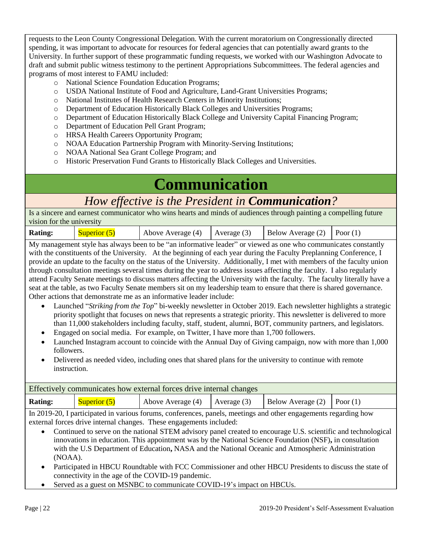requests to the Leon County Congressional Delegation. With the current moratorium on Congressionally directed spending, it was important to advocate for resources for federal agencies that can potentially award grants to the University. In further support of these programmatic funding requests, we worked with our Washington Advocate to draft and submit public witness testimony to the pertinent Appropriations Subcommittees. The federal agencies and programs of most interest to FAMU included:

- o National Science Foundation Education Programs;
- o USDA National Institute of Food and Agriculture, Land-Grant Universities Programs;
- o National Institutes of Health Research Centers in Minority Institutions;
- o Department of Education Historically Black Colleges and Universities Programs;
- o Department of Education Historically Black College and University Capital Financing Program;
- o Department of Education Pell Grant Program;
- o HRSA Health Careers Opportunity Program;
- o NOAA Education Partnership Program with Minority-Serving Institutions;
- o NOAA National Sea Grant College Program; and
- o Historic Preservation Fund Grants to Historically Black Colleges and Universities.

# **Communication**

## *How effective is the President in Communication?*

Is a sincere and earnest communicator who wins hearts and minds of audiences through painting a compelling future vision for the university

| Above Average (4) $\vert$ Average (3) $\vert$ Below Average (2) $\vert$ Poor (1)<br><b>Rating:</b><br>Superior $(5)$ |  |
|----------------------------------------------------------------------------------------------------------------------|--|
|----------------------------------------------------------------------------------------------------------------------|--|

My management style has always been to be "an informative leader" or viewed as one who communicates constantly with the constituents of the University. At the beginning of each year during the Faculty Preplanning Conference, I provide an update to the faculty on the status of the University. Additionally, I met with members of the faculty union through consultation meetings several times during the year to address issues affecting the faculty. I also regularly attend Faculty Senate meetings to discuss matters affecting the University with the faculty. The faculty literally have a seat at the table, as two Faculty Senate members sit on my leadership team to ensure that there is shared governance. Other actions that demonstrate me as an informative leader include:

- Launched "*Striking from the Top*" bi-weekly newsletter in October 2019. Each newsletter highlights a strategic priority spotlight that focuses on news that represents a strategic priority. This newsletter is delivered to more than 11,000 stakeholders including faculty, staff, student, alumni, BOT, community partners, and legislators.
- Engaged on social media. For example, on Twitter, I have more than 1,700 followers.
- Launched Instagram account to coincide with the Annual Day of Giving campaign, now with more than 1,000 followers.
- Delivered as needed video, including ones that shared plans for the university to continue with remote instruction.

| Effectively communicates how external forces drive internal changes                                             |              |                                     |  |                                  |  |
|-----------------------------------------------------------------------------------------------------------------|--------------|-------------------------------------|--|----------------------------------|--|
| <b>Rating:</b>                                                                                                  | Superior (5) | Above Average $(4)$   Average $(3)$ |  | Below Average $(2)$   Poor $(1)$ |  |
| In 2019-20, I participated in various forums, conferences, panels, meetings and other engagements regarding how |              |                                     |  |                                  |  |

external forces drive internal changes. These engagements included:

- Continued to serve on the national STEM advisory panel created to encourage U.S. scientific and technological innovations in education. This appointment was by the National Science Foundation (NSF)**,** in consultation with the U.S Department of Education**,** NASA and the National Oceanic and Atmospheric Administration (NOAA).
- Participated in HBCU Roundtable with FCC Commissioner and other HBCU Presidents to discuss the state of connectivity in the age of the COVID-19 pandemic.
- Served as a guest on MSNBC to communicate COVID-19's impact on HBCUs.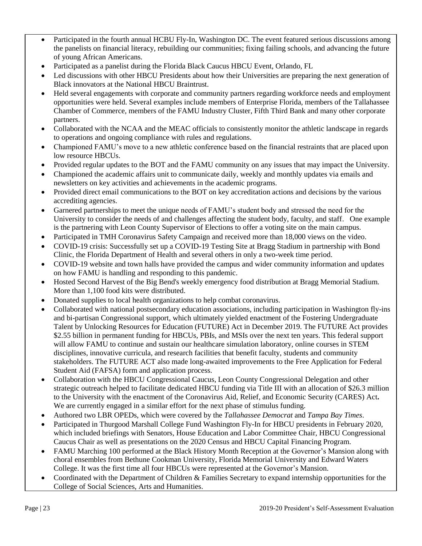- Participated in the fourth annual HCBU Fly-In, Washington DC. The event featured serious discussions among the panelists on financial literacy, rebuilding our communities; fixing failing schools, and advancing the future of young African Americans.
- Participated as a panelist during the Florida Black Caucus HBCU Event, Orlando, FL
- Led discussions with other HBCU Presidents about how their Universities are preparing the next generation of Black innovators at the National HBCU Braintrust.
- Held several engagements with corporate and community partners regarding workforce needs and employment opportunities were held. Several examples include members of Enterprise Florida, members of the Tallahassee Chamber of Commerce, members of the FAMU Industry Cluster, Fifth Third Bank and many other corporate partners.
- Collaborated with the NCAA and the MEAC officials to consistently monitor the athletic landscape in regards to operations and ongoing compliance with rules and regulations.
- Championed FAMU's move to a new athletic conference based on the financial restraints that are placed upon low resource HBCUs.
- Provided regular updates to the BOT and the FAMU community on any issues that may impact the University.
- Championed the academic affairs unit to communicate daily, weekly and monthly updates via emails and newsletters on key activities and achievements in the academic programs.
- Provided direct email communications to the BOT on key accreditation actions and decisions by the various accrediting agencies.
- Garnered partnerships to meet the unique needs of FAMU's student body and stressed the need for the University to consider the needs of and challenges affecting the student body, faculty, and staff. One example is the partnering with Leon County Supervisor of Elections to offer a voting site on the main campus.
- Participated in TMH Coronavirus Safety Campaign and received more than 18,000 views on the video.
- COVID-19 crisis: Successfully set up a COVID-19 Testing Site at Bragg Stadium in partnership with Bond Clinic, the Florida Department of Health and several others in only a two-week time period.
- COVID-19 website and town halls have provided the campus and wider community information and updates on how FAMU is handling and responding to this pandemic.
- Hosted Second Harvest of the Big Bend's weekly emergency food distribution at Bragg Memorial Stadium. More than 1,100 food kits were distributed.
- Donated supplies to local health organizations to help combat coronavirus.
- Collaborated with national postsecondary education associations, including participation in Washington fly-ins and bi-partisan Congressional support, which ultimately yielded enactment of the Fostering Undergraduate Talent by Unlocking Resources for Education (FUTURE) Act in December 2019. The FUTURE Act provides \$2.55 billion in permanent funding for HBCUs, PBIs, and MSIs over the next ten years. This federal support will allow FAMU to continue and sustain our healthcare simulation laboratory, online courses in STEM disciplines, innovative curricula, and research facilities that benefit faculty, students and community stakeholders. The FUTURE ACT also made long-awaited improvements to the Free Application for Federal Student Aid (FAFSA) form and application process.
- Collaboration with the HBCU Congressional Caucus, Leon County Congressional Delegation and other strategic outreach helped to facilitate dedicated HBCU funding via Title III with an allocation of \$26.3 million to the University with the enactment of the Coronavirus Aid, Relief, and Economic Security (CARES) Act**.** We are currently engaged in a similar effort for the next phase of stimulus funding.
- Authored two LBR OPEDs, which were covered by the *Tallahassee Democrat* and *Tampa Bay Times*.
- Participated in Thurgood Marshall College Fund Washington Fly-In for HBCU presidents in February 2020, which included briefings with Senators, House Education and Labor Committee Chair, HBCU Congressional Caucus Chair as well as presentations on the 2020 Census and HBCU Capital Financing Program.
- FAMU Marching 100 performed at the Black History Month Reception at the Governor's Mansion along with choral ensembles from Bethune Cookman University, Florida Memorial University and Edward Waters College. It was the first time all four HBCUs were represented at the Governor's Mansion.
- Coordinated with the Department of Children & Families Secretary to expand internship opportunities for the College of Social Sciences, Arts and Humanities.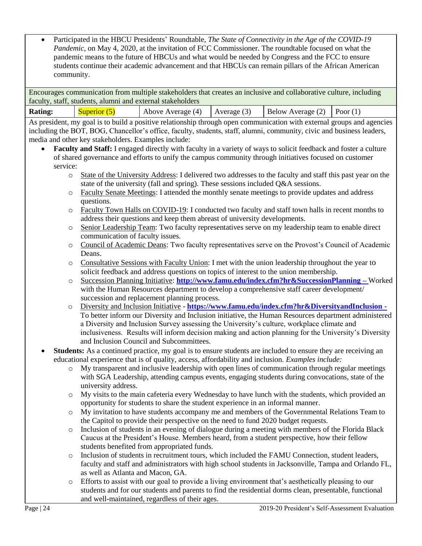• Participated in the HBCU Presidents' Roundtable, *The State of Connectivity in the Age of the COVID-19 Pandemic,* on May 4, 2020, at the invitation of FCC Commissioner. The roundtable focused on what the pandemic means to the future of HBCUs and what would be needed by Congress and the FCC to ensure students continue their academic advancement and that HBCUs can remain pillars of the African American community.

Encourages communication from multiple stakeholders that creates an inclusive and collaborative culture, including faculty, staff, students, alumni and external stakeholders

| <b>Rating:</b> | Superior (5) | Above Average (4) |
|----------------|--------------|-------------------|
|                |              |                   |

Average (3)  $\vert$  Below Average (2)  $\vert$  Poor (1)

As president, my goal is to build a positive relationship through open communication with external groups and agencies including the BOT, BOG, Chancellor's office, faculty, students, staff, alumni, community, civic and business leaders, media and other key stakeholders. Examples include:

- **Faculty and Staff:** I engaged directly with faculty in a variety of ways to solicit feedback and foster a culture of shared governance and efforts to unify the campus community through initiatives focused on customer service:
	- o State of the University Address: I delivered two addresses to the faculty and staff this past year on the state of the university (fall and spring). These sessions included Q&A sessions.
	- o Faculty Senate Meetings: I attended the monthly senate meetings to provide updates and address questions.
	- o Faculty Town Halls on COVID-19: I conducted two faculty and staff town halls in recent months to address their questions and keep them abreast of university developments.
	- o Senior Leadership Team: Two faculty representatives serve on my leadership team to enable direct communication of faculty issues.
	- o Council of Academic Deans: Two faculty representatives serve on the Provost's Council of Academic Deans.
	- o Consultative Sessions with Faculty Union: I met with the union leadership throughout the year to solicit feedback and address questions on topics of interest to the union membership.
	- o Succession Planning Initiative: **<http://www.famu.edu/index.cfm?hr&SuccessionPlanning> –** Worked with the Human Resources department to develop a comprehensive staff career development/ succession and replacement planning process.
	- o Diversity and Inclusion Initiative **<https://www.famu.edu/index.cfm?hr&DiversityandInclusion> -** To better inform our Diversity and Inclusion initiative, the Human Resources department administered a Diversity and Inclusion Survey assessing the University's culture, workplace climate and inclusiveness. Results will inform decision making and action planning for the University's Diversity and Inclusion Council and Subcommittees.

#### • **Students:** As a continued practice, my goal is to ensure students are included to ensure they are receiving an educational experience that is of quality, access, affordability and inclusion. *Examples include:*

- o My transparent and inclusive leadership with open lines of communication through regular meetings with SGA Leadership, attending campus events, engaging students during convocations, state of the university address.
- o My visits to the main cafeteria every Wednesday to have lunch with the students, which provided an opportunity for students to share the student experience in an informal manner.
- o My invitation to have students accompany me and members of the Governmental Relations Team to the Capitol to provide their perspective on the need to fund 2020 budget requests.
- o Inclusion of students in an evening of dialogue during a meeting with members of the Florida Black Caucus at the President's House. Members heard, from a student perspective, how their fellow students benefited from appropriated funds.
- o Inclusion of students in recruitment tours, which included the FAMU Connection, student leaders, faculty and staff and administrators with high school students in Jacksonville, Tampa and Orlando FL, as well as Atlanta and Macon, GA.
- o Efforts to assist with our goal to provide a living environment that's aesthetically pleasing to our students and for our students and parents to find the residential dorms clean, presentable, functional and well-maintained, regardless of their ages.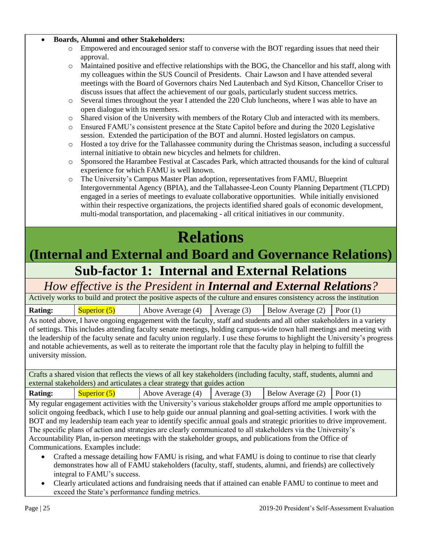#### • **Boards, Alumni and other Stakeholders:**

- o Empowered and encouraged senior staff to converse with the BOT regarding issues that need their approval.
- o Maintained positive and effective relationships with the BOG, the Chancellor and his staff, along with my colleagues within the SUS Council of Presidents. Chair Lawson and I have attended several meetings with the Board of Governors chairs Ned Lautenbach and Syd Kitson, Chancellor Criser to discuss issues that affect the achievement of our goals, particularly student success metrics.
- o Several times throughout the year I attended the 220 Club luncheons, where I was able to have an open dialogue with its members.
- o Shared vision of the University with members of the Rotary Club and interacted with its members.
- o Ensured FAMU's consistent presence at the State Capitol before and during the 2020 Legislative session. Extended the participation of the BOT and alumni. Hosted legislators on campus.
- o Hosted a toy drive for the Tallahassee community during the Christmas season, including a successful internal initiative to obtain new bicycles and helmets for children.
- o Sponsored the Harambee Festival at Cascades Park, which attracted thousands for the kind of cultural experience for which FAMU is well known.
- o The University's Campus Master Plan adoption, representatives from FAMU, Blueprint Intergovernmental Agency (BPIA), and the Tallahassee-Leon County Planning Department (TLCPD) engaged in a series of meetings to evaluate collaborative opportunities. While initially envisioned within their respective organizations, the projects identified shared goals of economic development, multi-modal transportation, and placemaking - all critical initiatives in our community.

# **Relations**

## **(Internal and External and Board and Governance Relations) Sub-factor 1: Internal and External Relations**

*How effective is the President in Internal and External Relations?*

Actively works to build and protect the positive aspects of the culture and ensures consistency across the institution

**Rating:** Superior (5) Above Average (4) Average (3) Below Average (2) Poor (1)

As noted above, I have ongoing engagement with the faculty, staff and students and all other stakeholders in a variety of settings. This includes attending faculty senate meetings, holding campus-wide town hall meetings and meeting with the leadership of the faculty senate and faculty union regularly. I use these forums to highlight the University's progress and notable achievements, as well as to reiterate the important role that the faculty play in helping to fulfill the university mission.

Crafts a shared vision that reflects the views of all key stakeholders (including faculty, staff, students, alumni and external stakeholders) and articulates a clear strategy that guides action

**Rating:** Superior (5) Above Average (4) Average (3) Below Average (2) Poor (1)

My regular engagement activities with the University's various stakeholder groups afford me ample opportunities to solicit ongoing feedback, which I use to help guide our annual planning and goal-setting activities. I work with the BOT and my leadership team each year to identify specific annual goals and strategic priorities to drive improvement. The specific plans of action and strategies are clearly communicated to all stakeholders via the University's Accountability Plan, in-person meetings with the stakeholder groups, and publications from the Office of Communications. Examples include:

- Crafted a message detailing how FAMU is rising, and what FAMU is doing to continue to rise that clearly demonstrates how all of FAMU stakeholders (faculty, staff, students, alumni, and friends) are collectively integral to FAMU's success.
- Clearly articulated actions and fundraising needs that if attained can enable FAMU to continue to meet and exceed the State's performance funding metrics.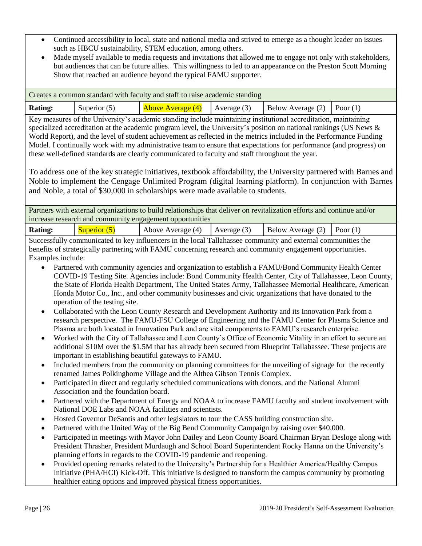- Continued accessibility to local, state and national media and strived to emerge as a thought leader on issues such as HBCU sustainability, STEM education, among others.
- Made myself available to media requests and invitations that allowed me to engage not only with stakeholders, but audiences that can be future allies. This willingness to led to an appearance on the Preston Scott Morning Show that reached an audience beyond the typical FAMU supporter.

|                                                                                                                                                                                                                                                                                                                                                                                                                                                                                                                                                                                                                                                                                                                                                                                                                                                                                                            |                                                                         | Creates a common standard with faculty and staff to raise academic standing                                                                                                                                                                                                                                                                                                                                                                                                                                                                                                                                                                                                                                                                                                                                                                                                                                                                                                                                                                                                                                                                                                                                                                                                                                                                                                                                                                                                                                                                                                                                                                                                                                                                                                                                                                                                                                                                                                                                                                                                                                                                                                                                                                                                                                                                                                                                                                                                                                                                   |               |                   |            |
|------------------------------------------------------------------------------------------------------------------------------------------------------------------------------------------------------------------------------------------------------------------------------------------------------------------------------------------------------------------------------------------------------------------------------------------------------------------------------------------------------------------------------------------------------------------------------------------------------------------------------------------------------------------------------------------------------------------------------------------------------------------------------------------------------------------------------------------------------------------------------------------------------------|-------------------------------------------------------------------------|-----------------------------------------------------------------------------------------------------------------------------------------------------------------------------------------------------------------------------------------------------------------------------------------------------------------------------------------------------------------------------------------------------------------------------------------------------------------------------------------------------------------------------------------------------------------------------------------------------------------------------------------------------------------------------------------------------------------------------------------------------------------------------------------------------------------------------------------------------------------------------------------------------------------------------------------------------------------------------------------------------------------------------------------------------------------------------------------------------------------------------------------------------------------------------------------------------------------------------------------------------------------------------------------------------------------------------------------------------------------------------------------------------------------------------------------------------------------------------------------------------------------------------------------------------------------------------------------------------------------------------------------------------------------------------------------------------------------------------------------------------------------------------------------------------------------------------------------------------------------------------------------------------------------------------------------------------------------------------------------------------------------------------------------------------------------------------------------------------------------------------------------------------------------------------------------------------------------------------------------------------------------------------------------------------------------------------------------------------------------------------------------------------------------------------------------------------------------------------------------------------------------------------------------------|---------------|-------------------|------------|
| <b>Rating:</b>                                                                                                                                                                                                                                                                                                                                                                                                                                                                                                                                                                                                                                                                                                                                                                                                                                                                                             | Superior (5)                                                            | <b>Above Average (4)</b>                                                                                                                                                                                                                                                                                                                                                                                                                                                                                                                                                                                                                                                                                                                                                                                                                                                                                                                                                                                                                                                                                                                                                                                                                                                                                                                                                                                                                                                                                                                                                                                                                                                                                                                                                                                                                                                                                                                                                                                                                                                                                                                                                                                                                                                                                                                                                                                                                                                                                                                      | Average (3)   | Below Average (2) | Poor $(1)$ |
| Key measures of the University's academic standing include maintaining institutional accreditation, maintaining<br>specialized accreditation at the academic program level, the University's position on national rankings (US News &<br>World Report), and the level of student achievement as reflected in the metrics included in the Performance Funding<br>Model. I continually work with my administrative team to ensure that expectations for performance (and progress) on<br>these well-defined standards are clearly communicated to faculty and staff throughout the year.<br>To address one of the key strategic initiatives, textbook affordability, the University partnered with Barnes and<br>Noble to implement the Cengage Unlimited Program (digital learning platform). In conjunction with Barnes<br>and Noble, a total of \$30,000 in scholarships were made available to students. |                                                                         |                                                                                                                                                                                                                                                                                                                                                                                                                                                                                                                                                                                                                                                                                                                                                                                                                                                                                                                                                                                                                                                                                                                                                                                                                                                                                                                                                                                                                                                                                                                                                                                                                                                                                                                                                                                                                                                                                                                                                                                                                                                                                                                                                                                                                                                                                                                                                                                                                                                                                                                                               |               |                   |            |
|                                                                                                                                                                                                                                                                                                                                                                                                                                                                                                                                                                                                                                                                                                                                                                                                                                                                                                            |                                                                         | Partners with external organizations to build relationships that deliver on revitalization efforts and continue and/or<br>increase research and community engagement opportunities                                                                                                                                                                                                                                                                                                                                                                                                                                                                                                                                                                                                                                                                                                                                                                                                                                                                                                                                                                                                                                                                                                                                                                                                                                                                                                                                                                                                                                                                                                                                                                                                                                                                                                                                                                                                                                                                                                                                                                                                                                                                                                                                                                                                                                                                                                                                                            |               |                   |            |
| <b>Rating:</b>                                                                                                                                                                                                                                                                                                                                                                                                                                                                                                                                                                                                                                                                                                                                                                                                                                                                                             | Superior $(5)$                                                          | Above Average (4)                                                                                                                                                                                                                                                                                                                                                                                                                                                                                                                                                                                                                                                                                                                                                                                                                                                                                                                                                                                                                                                                                                                                                                                                                                                                                                                                                                                                                                                                                                                                                                                                                                                                                                                                                                                                                                                                                                                                                                                                                                                                                                                                                                                                                                                                                                                                                                                                                                                                                                                             | Average $(3)$ | Below Average (2) | Poor $(1)$ |
| Examples include:<br>$\bullet$<br>$\bullet$<br>$\bullet$<br>$\bullet$<br>$\bullet$<br>$\bullet$<br>٠<br>٠<br>$\bullet$<br>$\bullet$                                                                                                                                                                                                                                                                                                                                                                                                                                                                                                                                                                                                                                                                                                                                                                        | operation of the testing site.<br>Association and the foundation board. | Successfully communicated to key influencers in the local Tallahassee community and external communities the<br>benefits of strategically partnering with FAMU concerning research and community engagement opportunities.<br>Partnered with community agencies and organization to establish a FAMU/Bond Community Health Center<br>COVID-19 Testing Site. Agencies include: Bond Community Health Center, City of Tallahassee, Leon County,<br>the State of Florida Health Department, The United States Army, Tallahassee Memorial Healthcare, American<br>Honda Motor Co., Inc., and other community businesses and civic organizations that have donated to the<br>Collaborated with the Leon County Research and Development Authority and its Innovation Park from a<br>research perspective. The FAMU-FSU College of Engineering and the FAMU Center for Plasma Science and<br>Plasma are both located in Innovation Park and are vital components to FAMU's research enterprise.<br>Worked with the City of Tallahassee and Leon County's Office of Economic Vitality in an effort to secure an<br>additional \$10M over the \$1.5M that has already been secured from Blueprint Tallahassee. These projects are<br>important in establishing beautiful gateways to FAMU.<br>Included members from the community on planning committees for the unveiling of signage for the recently<br>renamed James Polkinghorne Village and the Althea Gibson Tennis Complex.<br>Participated in direct and regularly scheduled communications with donors, and the National Alumni<br>Partnered with the Department of Energy and NOAA to increase FAMU faculty and student involvement with<br>National DOE Labs and NOAA facilities and scientists.<br>Hosted Governor DeSantis and other legislators to tour the CASS building construction site.<br>Partnered with the United Way of the Big Bend Community Campaign by raising over \$40,000.<br>Participated in meetings with Mayor John Dailey and Leon County Board Chairman Bryan Desloge along with<br>President Thrasher, President Murdaugh and School Board Superintendent Rocky Hanna on the University's<br>planning efforts in regards to the COVID-19 pandemic and reopening.<br>Provided opening remarks related to the University's Partnership for a Healthier America/Healthy Campus<br>Initiative (PHA/HCI) Kick-Off. This initiative is designed to transform the campus community by promoting<br>healthier eating options and improved physical fitness opportunities. |               |                   |            |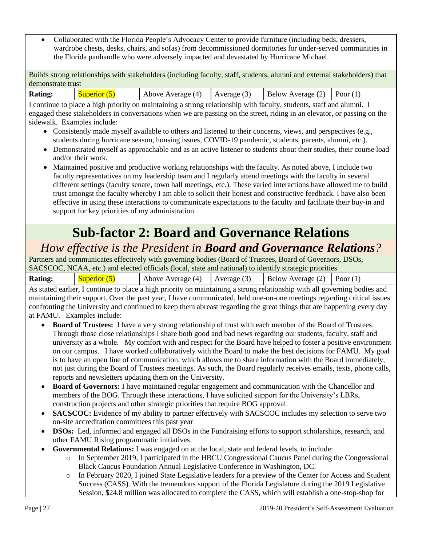• Collaborated with the Florida People's Advocacy Center to provide furniture (including beds, dressers, wardrobe chests, desks, chairs, and sofas) from decommissioned dormitories for under-served communities in the Florida panhandle who were adversely impacted and devastated by Hurricane Michael.

Builds strong relationships with stakeholders (including faculty, staff, students, alumni and external stakeholders) that demonstrate trust

| <b>Rating:</b> | Superior. | Above Average (4) | Average $(3)$ | Below Average $(2)$ | Poor $(1)$ |
|----------------|-----------|-------------------|---------------|---------------------|------------|
|                |           |                   |               |                     |            |

I continue to place a high priority on maintaining a strong relationship with faculty, students, staff and alumni. I engaged these stakeholders in conversations when we are passing on the street, riding in an elevator, or passing on the sidewalk. Examples include:

- Consistently made myself available to others and listened to their concerns, views, and perspectives (e.g., students during hurricane season, housing issues, COVID-19 pandemic, students, parents, alumni, etc.).
- Demonstrated myself as approachable and as an active listener to students about their studies, their course load and/or their work.
- Maintained positive and productive working relationships with the faculty. As noted above, I include two faculty representatives on my leadership team and I regularly attend meetings with the faculty in several different settings (faculty senate, town hall meetings, etc.). These varied interactions have allowed me to build trust amongst the faculty whereby I am able to solicit their honest and constructive feedback. I have also been effective in using these interactions to communicate expectations to the faculty and facilitate their buy-in and support for key priorities of my administration.

# **Sub-factor 2: Board and Governance Relations**

### *How effective is the President in Board and Governance Relations?*

Partners and communicates effectively with governing bodies (Board of Trustees, Board of Governors, DSOs, SACSCOC, NCAA, etc.) and elected officials (local, state and national) to identify strategic priorities

| <b>Rating:</b> | Superior $(5)$ | Above Average (4) $\vert$ Average (3) $\vert$ Below Average (2) $\vert$ Poor (1)                                              |  |  |
|----------------|----------------|-------------------------------------------------------------------------------------------------------------------------------|--|--|
|                |                | A contract contract constance is office of the automated on accordance of a constant and the matrix of a constant for a final |  |  |

As stated earlier, I continue to place a high priority on maintaining a strong relationship with all governing bodies and maintaining their support. Over the past year, I have communicated, held one-on-one meetings regarding critical issues confronting the University and continued to keep them abreast regarding the great things that are happening every day at FAMU. Examples include:

- **Board of Trustees:** I have a very strong relationship of trust with each member of the Board of Trustees. Through those close relationships I share both good and bad news regarding our students, faculty, staff and university as a whole. My comfort with and respect for the Board have helped to foster a positive environment on our campus. I have worked collaboratively with the Board to make the best decisions for FAMU. My goal is to have an open line of communication, which allows me to share information with the Board immediately, not just during the Board of Trustees meetings. As such, the Board regularly receives emails, texts, phone calls, reports and newsletters updating them on the University.
- **Board of Governors:** I have maintained regular engagement and communication with the Chancellor and members of the BOG. Through these interactions, I have solicited support for the University's LBRs, construction projects and other strategic priorities that require BOG approval.
- **SACSCOC:** Evidence of my ability to partner effectively with SACSCOC includes my selection to serve two on-site accreditation committees this past year
- **DSOs:** Led, informed and engaged all DSOs in the Fundraising efforts to support scholarships, research, and other FAMU Rising programmatic initiatives.
- **Governmental Relations:** I was engaged on at the local, state and federal levels, to include:
	- o In September 2019, I participated in the HBCU Congressional Caucus Panel during the Congressional Black Caucus Foundation Annual Legislative Conference in Washington, DC.
	- o In February 2020, I joined State Legislative leaders for a preview of the Center for Access and Student Success (CASS). With the tremendous support of the Florida Legislature during the 2019 Legislative Session, \$24.8 million was allocated to complete the CASS, which will establish a one-stop-shop for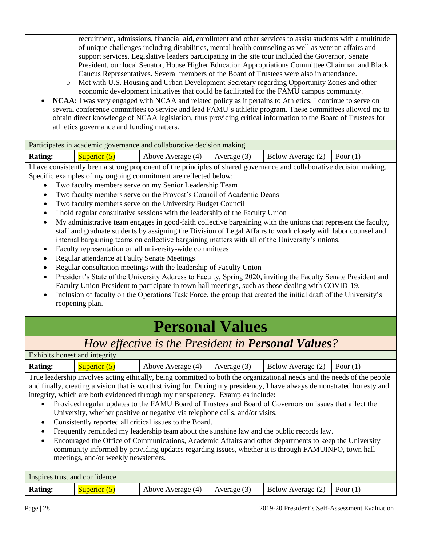recruitment, admissions, financial aid, enrollment and other services to assist students with a multitude of unique challenges including disabilities, mental health counseling as well as veteran affairs and support services. Legislative leaders participating in the site tour included the Governor, Senate President, our local Senator, House Higher Education Appropriations Committee Chairman and Black Caucus Representatives. Several members of the Board of Trustees were also in attendance.

- o Met with U.S. Housing and Urban Development Secretary regarding Opportunity Zones and other economic development initiatives that could be facilitated for the FAMU campus community.
- **NCAA:** I was very engaged with NCAA and related policy as it pertains to Athletics. I continue to serve on several conference committees to service and lead FAMU's athletic program. These committees allowed me to obtain direct knowledge of NCAA legislation, thus providing critical information to the Board of Trustees for athletics governance and funding matters.

| Participates in academic governance and collaborative decision making |                |                                   |  |                                |  |  |
|-----------------------------------------------------------------------|----------------|-----------------------------------|--|--------------------------------|--|--|
| <b>Rating:</b>                                                        | Superior $(5)$ | Above Average $(4)$ Average $(3)$ |  | Below Average $(2)$ Poor $(1)$ |  |  |

I have consistently been a strong proponent of the principles of shared governance and collaborative decision making. Specific examples of my ongoing commitment are reflected below:

- Two faculty members serve on my Senior Leadership Team
- Two faculty members serve on the Provost's Council of Academic Deans
- Two faculty members serve on the University Budget Council
- I hold regular consultative sessions with the leadership of the Faculty Union
- My administrative team engages in good-faith collective bargaining with the unions that represent the faculty, staff and graduate students by assigning the Division of Legal Affairs to work closely with labor counsel and internal bargaining teams on collective bargaining matters with all of the University's unions.
- Faculty representation on all university-wide committees
- Regular attendance at Faulty Senate Meetings
- Regular consultation meetings with the leadership of Faculty Union
- President's State of the University Address to Faculty, Spring 2020, inviting the Faculty Senate President and Faculty Union President to participate in town hall meetings, such as those dealing with COVID-19.
- Inclusion of faculty on the Operations Task Force, the group that created the initial draft of the University's reopening plan.

# **Personal Values**

### *How effective is the President in Personal Values?*

| Exhibits honest and integrity |                |                   |             |                                |  |
|-------------------------------|----------------|-------------------|-------------|--------------------------------|--|
| <b>Rating:</b>                | Superior $(5)$ | Above Average (4) | Average (3) | Below Average $(2)$ Poor $(1)$ |  |

True leadership involves acting ethically, being committed to both the organizational needs and the needs of the people and finally, creating a vision that is worth striving for. During my presidency, I have always demonstrated honesty and integrity, which are both evidenced through my transparency. Examples include:

- Provided regular updates to the FAMU Board of Trustees and Board of Governors on issues that affect the University, whether positive or negative via telephone calls, and/or visits.
- Consistently reported all critical issues to the Board.
- Frequently reminded my leadership team about the sunshine law and the public records law.
- Encouraged the Office of Communications, Academic Affairs and other departments to keep the University community informed by providing updates regarding issues, whether it is through FAMUINFO, town hall meetings, and/or weekly newsletters.

| Inspires trust and confidence |              |                   |               |                                |  |
|-------------------------------|--------------|-------------------|---------------|--------------------------------|--|
| <b>Rating:</b>                | Superior (5) | Above Average (4) | Average $(3)$ | Below Average $(2)$ Poor $(1)$ |  |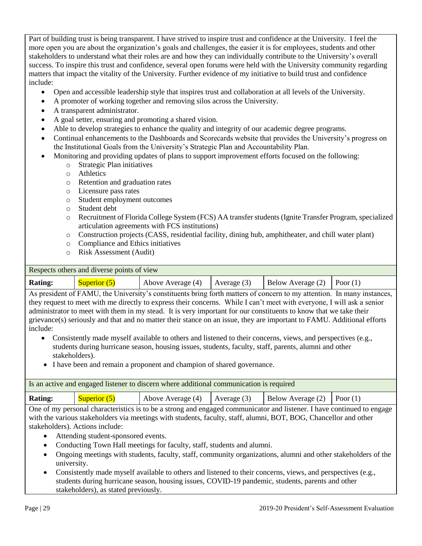Part of building trust is being transparent. I have strived to inspire trust and confidence at the University. I feel the more open you are about the organization's goals and challenges, the easier it is for employees, students and other stakeholders to understand what their roles are and how they can individually contribute to the University's overall success. To inspire this trust and confidence, several open forums were held with the University community regarding matters that impact the vitality of the University. Further evidence of my initiative to build trust and confidence include:

- Open and accessible leadership style that inspires trust and collaboration at all levels of the University.
- A promoter of working together and removing silos across the University.
- A transparent administrator.
- A goal setter, ensuring and promoting a shared vision.
- Able to develop strategies to enhance the quality and integrity of our academic degree programs.
- Continual enhancements to the Dashboards and Scorecards website that provides the University's progress on the Institutional Goals from the University's Strategic Plan and Accountability Plan.
- Monitoring and providing updates of plans to support improvement efforts focused on the following:
	- o Strategic Plan initiatives
	- o Athletics
	- o Retention and graduation rates
	- o Licensure pass rates
	- o Student employment outcomes
	- o Student debt
	- o Recruitment of Florida College System (FCS) AA transfer students (Ignite Transfer Program, specialized articulation agreements with FCS institutions)
	- o Construction projects (CASS, residential facility, dining hub, amphitheater, and chill water plant)
	- o Compliance and Ethics initiatives
	- o Risk Assessment (Audit)

#### Respects others and diverse points of view

| <b>Rating:</b> | Superior $(5)$ | Above Average $(4)$ Average $(3)$ | Below Average $(2)$ Poor $(1)$ |  |
|----------------|----------------|-----------------------------------|--------------------------------|--|
|                | ------------   |                                   |                                |  |

As president of FAMU, the University's constituents bring forth matters of concern to my attention. In many instances, they request to meet with me directly to express their concerns. While I can't meet with everyone, I will ask a senior administrator to meet with them in my stead. It is very important for our constituents to know that we take their grievance(s) seriously and that and no matter their stance on an issue, they are important to FAMU. Additional efforts include:

- Consistently made myself available to others and listened to their concerns, views, and perspectives (e.g., students during hurricane season, housing issues, students, faculty, staff, parents, alumni and other stakeholders).
- I have been and remain a proponent and champion of shared governance.

| Is an active and engaged listener to discern where additional communication is required                            |                |                                                                                  |  |  |  |
|--------------------------------------------------------------------------------------------------------------------|----------------|----------------------------------------------------------------------------------|--|--|--|
| <b>Rating:</b>                                                                                                     | Superior $(5)$ | Above Average (4) $\vert$ Average (3) $\vert$ Below Average (2) $\vert$ Poor (1) |  |  |  |
| One of my personal eperceptize is to be a strong and engaged communicator and listener. I have continued to engage |                |                                                                                  |  |  |  |

One of my personal characteristics is to be a strong and engaged communicator and listener. I have continued to engage with the various stakeholders via meetings with students, faculty, staff, alumni, BOT, BOG, Chancellor and other stakeholders). Actions include:

- Attending student-sponsored events.
- Conducting Town Hall meetings for faculty, staff, students and alumni.
- Ongoing meetings with students, faculty, staff, community organizations, alumni and other stakeholders of the university.
- Consistently made myself available to others and listened to their concerns, views, and perspectives (e.g., students during hurricane season, housing issues, COVID-19 pandemic, students, parents and other stakeholders), as stated previously.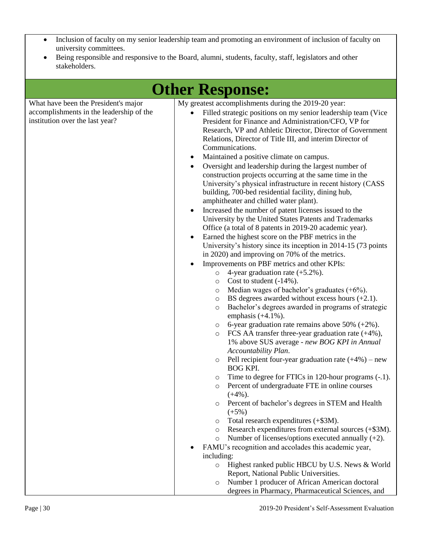- Inclusion of faculty on my senior leadership team and promoting an environment of inclusion of faculty on university committees.
- Being responsible and responsive to the Board, alumni, students, faculty, staff, legislators and other stakeholders.

|                                                                                                                     |                     | <b>Other Response:</b>                                                                                                                                                                                                                                                                                                                                                                                                                                                                                                                                                                                                                                                                                                                                                                                                                                                                                                                                                                                                                                                                                                                                                                                                                                                                                                                                                                                                                                                                                                                                                                                                                                                                                                                                                                                                                                                                                                                                                                                                                                                                                                                                                                                                                                                                                                                                                                     |
|---------------------------------------------------------------------------------------------------------------------|---------------------|--------------------------------------------------------------------------------------------------------------------------------------------------------------------------------------------------------------------------------------------------------------------------------------------------------------------------------------------------------------------------------------------------------------------------------------------------------------------------------------------------------------------------------------------------------------------------------------------------------------------------------------------------------------------------------------------------------------------------------------------------------------------------------------------------------------------------------------------------------------------------------------------------------------------------------------------------------------------------------------------------------------------------------------------------------------------------------------------------------------------------------------------------------------------------------------------------------------------------------------------------------------------------------------------------------------------------------------------------------------------------------------------------------------------------------------------------------------------------------------------------------------------------------------------------------------------------------------------------------------------------------------------------------------------------------------------------------------------------------------------------------------------------------------------------------------------------------------------------------------------------------------------------------------------------------------------------------------------------------------------------------------------------------------------------------------------------------------------------------------------------------------------------------------------------------------------------------------------------------------------------------------------------------------------------------------------------------------------------------------------------------------------|
| What have been the President's major<br>accomplishments in the leadership of the<br>institution over the last year? | ٠<br>٠<br>$\bullet$ | My greatest accomplishments during the 2019-20 year:<br>Filled strategic positions on my senior leadership team (Vice<br>President for Finance and Administration/CFO, VP for<br>Research, VP and Athletic Director, Director of Government<br>Relations, Director of Title III, and interim Director of<br>Communications.<br>Maintained a positive climate on campus.<br>Oversight and leadership during the largest number of<br>construction projects occurring at the same time in the<br>University's physical infrastructure in recent history (CASS<br>building, 700-bed residential facility, dining hub,<br>amphitheater and chilled water plant).<br>Increased the number of patent licenses issued to the<br>University by the United States Patents and Trademarks<br>Office (a total of 8 patents in 2019-20 academic year).<br>Earned the highest score on the PBF metrics in the<br>University's history since its inception in 2014-15 (73 points<br>in 2020) and improving on 70% of the metrics.<br>Improvements on PBF metrics and other KPIs:<br>4-year graduation rate $(+5.2\%)$ .<br>$\circ$<br>Cost to student $(-14%)$ .<br>O<br>Median wages of bachelor's graduates $(+6%)$ .<br>$\circ$<br>BS degrees awarded without excess hours $(+2.1)$ .<br>O<br>Bachelor's degrees awarded in programs of strategic<br>$\circ$<br>emphasis $(+4.1\%)$ .<br>6-year graduation rate remains above 50% $(+2\%)$ .<br>$\circ$<br>FCS AA transfer three-year graduation rate $(+4\%)$ ,<br>$\circ$<br>1% above SUS average - new BOG KPI in Annual<br>Accountability Plan.<br>Pell recipient four-year graduation rate $(+4%)$ – new<br>$\circ$<br><b>BOG KPI.</b><br>Time to degree for FTICs in 120-hour programs (-.1).<br>$\circ$<br>Percent of undergraduate FTE in online courses<br>$\circ$<br>$(+4%)$ .<br>Percent of bachelor's degrees in STEM and Health<br>$\circ$<br>$(+5%)$<br>Total research expenditures (+\$3M).<br>$\circ$<br>Research expenditures from external sources (+\$3M).<br>O<br>Number of licenses/options executed annually $(+2)$ .<br>$\circ$<br>FAMU's recognition and accolades this academic year,<br>including:<br>Highest ranked public HBCU by U.S. News & World<br>$\circ$<br>Report, National Public Universities.<br>Number 1 producer of African American doctoral<br>$\circ$<br>degrees in Pharmacy, Pharmaceutical Sciences, and |